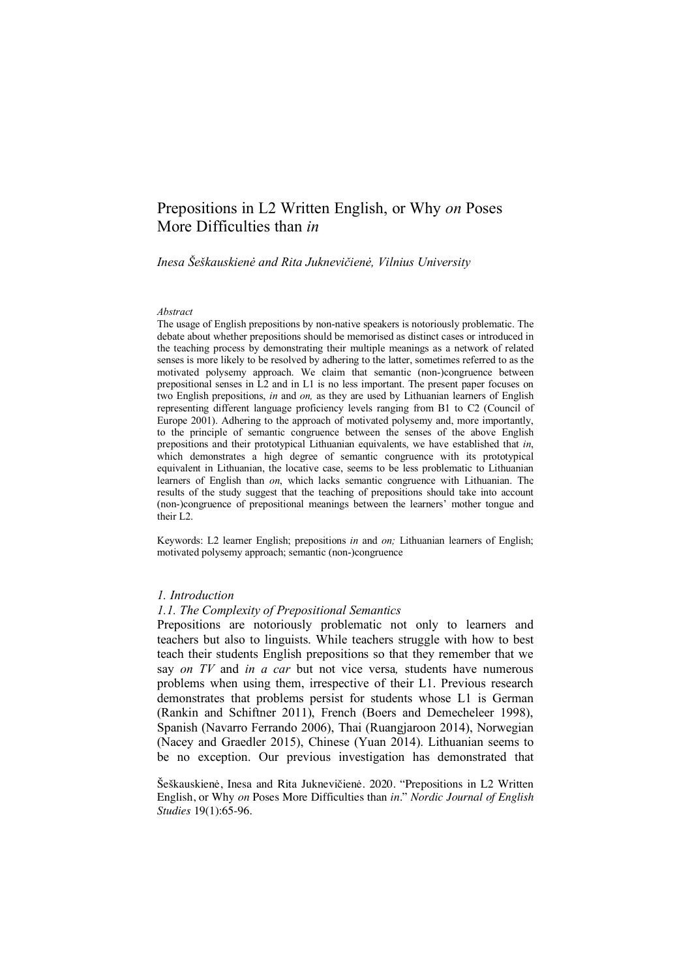# Prepositions in L2 Written English, or Why *on* Poses More Difficulties than *in*

*Inesa Šeškauskienė and Rita Juknevičienė, Vilnius University*

#### *Abstract*

The usage of English prepositions by non-native speakers is notoriously problematic. The debate about whether prepositions should be memorised as distinct cases or introduced in the teaching process by demonstrating their multiple meanings as a network of related senses is more likely to be resolved by adhering to the latter, sometimes referred to as the motivated polysemy approach. We claim that semantic (non-)congruence between prepositional senses in L2 and in L1 is no less important. The present paper focuses on two English prepositions, *in* and *on,* as they are used by Lithuanian learners of English representing different language proficiency levels ranging from B1 to C2 (Council of Europe 2001). Adhering to the approach of motivated polysemy and, more importantly, to the principle of semantic congruence between the senses of the above English prepositions and their prototypical Lithuanian equivalents, we have established that *in*, which demonstrates a high degree of semantic congruence with its prototypical equivalent in Lithuanian, the locative case, seems to be less problematic to Lithuanian learners of English than *on*, which lacks semantic congruence with Lithuanian. The results of the study suggest that the teaching of prepositions should take into account (non-)congruence of prepositional meanings between the learners' mother tongue and their L2.

Keywords: L2 learner English; prepositions *in* and *on;* Lithuanian learners of English; motivated polysemy approach; semantic (non-)congruence

#### *1. Introduction*

#### *1.1. The Complexity of Prepositional Semantics*

Prepositions are notoriously problematic not only to learners and teachers but also to linguists. While teachers struggle with how to best teach their students English prepositions so that they remember that we say *on TV* and *in a car* but not vice versa*,* students have numerous problems when using them, irrespective of their L1. Previous research demonstrates that problems persist for students whose L1 is German (Rankin and Schiftner 2011), French (Boers and Demecheleer 1998), Spanish (Navarro Ferrando 2006), Thai (Ruangjaroon 2014), Norwegian (Nacey and Graedler 2015), Chinese (Yuan 2014). Lithuanian seems to be no exception. Our previous investigation has demonstrated that

Šeškauskienė, Inesa and Rita Juknevičienė. 2020. "Prepositions in L2 Written English, or Why *on* Poses More Difficulties than *in*." *Nordic Journal of English Studies* 19(1):65-96.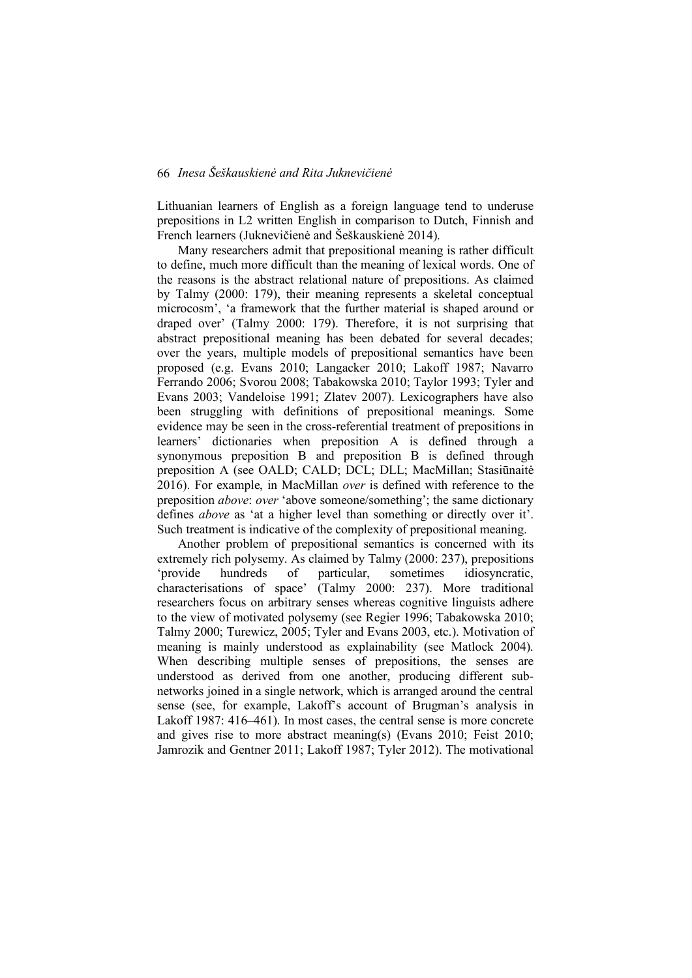Lithuanian learners of English as a foreign language tend to underuse prepositions in L2 written English in comparison to Dutch, Finnish and French learners (Juknevičienė and Šeškauskienė 2014).

Many researchers admit that prepositional meaning is rather difficult to define, much more difficult than the meaning of lexical words. One of the reasons is the abstract relational nature of prepositions. As claimed by Talmy (2000: 179), their meaning represents a skeletal conceptual microcosm', 'a framework that the further material is shaped around or draped over' (Talmy 2000: 179). Therefore, it is not surprising that abstract prepositional meaning has been debated for several decades; over the years, multiple models of prepositional semantics have been proposed (e.g. Evans 2010; Langacker 2010; Lakoff 1987; Navarro Ferrando 2006; Svorou 2008; Tabakowska 2010; Taylor 1993; Tyler and Evans 2003; Vandeloise 1991; Zlatev 2007). Lexicographers have also been struggling with definitions of prepositional meanings. Some evidence may be seen in the cross-referential treatment of prepositions in learners' dictionaries when preposition A is defined through a synonymous preposition B and preposition B is defined through preposition A (see OALD; CALD; DCL; DLL; MacMillan; Stasiūnaitė 2016). For example, in MacMillan *over* is defined with reference to the preposition *above*: *over* 'above someone/something'; the same dictionary defines *above* as 'at a higher level than something or directly over it'. Such treatment is indicative of the complexity of prepositional meaning.

Another problem of prepositional semantics is concerned with its extremely rich polysemy. As claimed by Talmy (2000: 237), prepositions 'provide hundreds of particular, sometimes idiosyncratic, characterisations of space' (Talmy 2000: 237). More traditional researchers focus on arbitrary senses whereas cognitive linguists adhere to the view of motivated polysemy (see Regier 1996; Tabakowska 2010; Talmy 2000; Turewicz, 2005; Tyler and Evans 2003, etc.). Motivation of meaning is mainly understood as explainability (see Matlock 2004). When describing multiple senses of prepositions, the senses are understood as derived from one another, producing different subnetworks joined in a single network, which is arranged around the central sense (see, for example, Lakoff's account of Brugman's analysis in Lakoff 1987: 416–461). In most cases, the central sense is more concrete and gives rise to more abstract meaning(s) (Evans 2010; Feist 2010; Jamrozik and Gentner 2011; Lakoff 1987; Tyler 2012). The motivational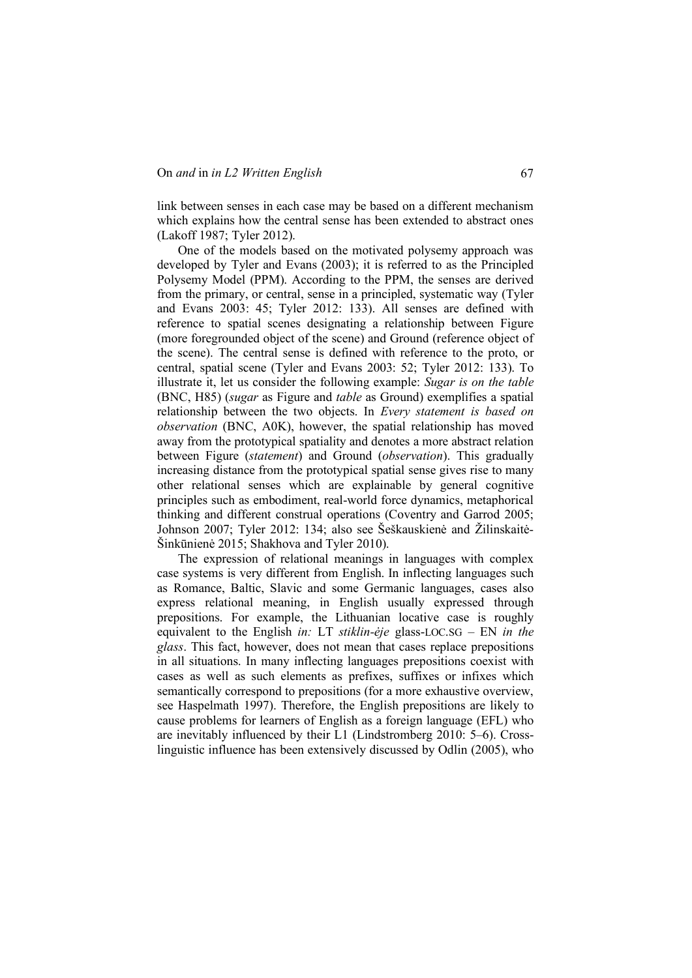link between senses in each case may be based on a different mechanism which explains how the central sense has been extended to abstract ones (Lakoff 1987; Tyler 2012).

One of the models based on the motivated polysemy approach was developed by Tyler and Evans (2003); it is referred to as the Principled Polysemy Model (PPM). According to the PPM, the senses are derived from the primary, or central, sense in a principled, systematic way (Tyler and Evans 2003: 45; Tyler 2012: 133). All senses are defined with reference to spatial scenes designating a relationship between Figure (more foregrounded object of the scene) and Ground (reference object of the scene). The central sense is defined with reference to the proto, or central, spatial scene (Tyler and Evans 2003: 52; Tyler 2012: 133). To illustrate it, let us consider the following example: *Sugar is on the table*  (BNC, H85) (*sugar* as Figure and *table* as Ground) exemplifies a spatial relationship between the two objects. In *Every statement is based on observation* (BNC, A0K), however, the spatial relationship has moved away from the prototypical spatiality and denotes a more abstract relation between Figure (*statement*) and Ground (*observation*). This gradually increasing distance from the prototypical spatial sense gives rise to many other relational senses which are explainable by general cognitive principles such as embodiment, real-world force dynamics, metaphorical thinking and different construal operations (Coventry and Garrod 2005; Johnson 2007; Tyler 2012: 134; also see Šeškauskienė and Žilinskaitė-Šinkūnienė 2015; Shakhova and Tyler 2010).

The expression of relational meanings in languages with complex case systems is very different from English. In inflecting languages such as Romance, Baltic, Slavic and some Germanic languages, cases also express relational meaning, in English usually expressed through prepositions. For example, the Lithuanian locative case is roughly equivalent to the English *in:* LT *stiklin-ėje* glass-LOC.SG – EN *in the glass*. This fact, however, does not mean that cases replace prepositions in all situations. In many inflecting languages prepositions coexist with cases as well as such elements as prefixes, suffixes or infixes which semantically correspond to prepositions (for a more exhaustive overview, see Haspelmath 1997). Therefore, the English prepositions are likely to cause problems for learners of English as a foreign language (EFL) who are inevitably influenced by their L1 (Lindstromberg 2010: 5–6). Crosslinguistic influence has been extensively discussed by Odlin (2005), who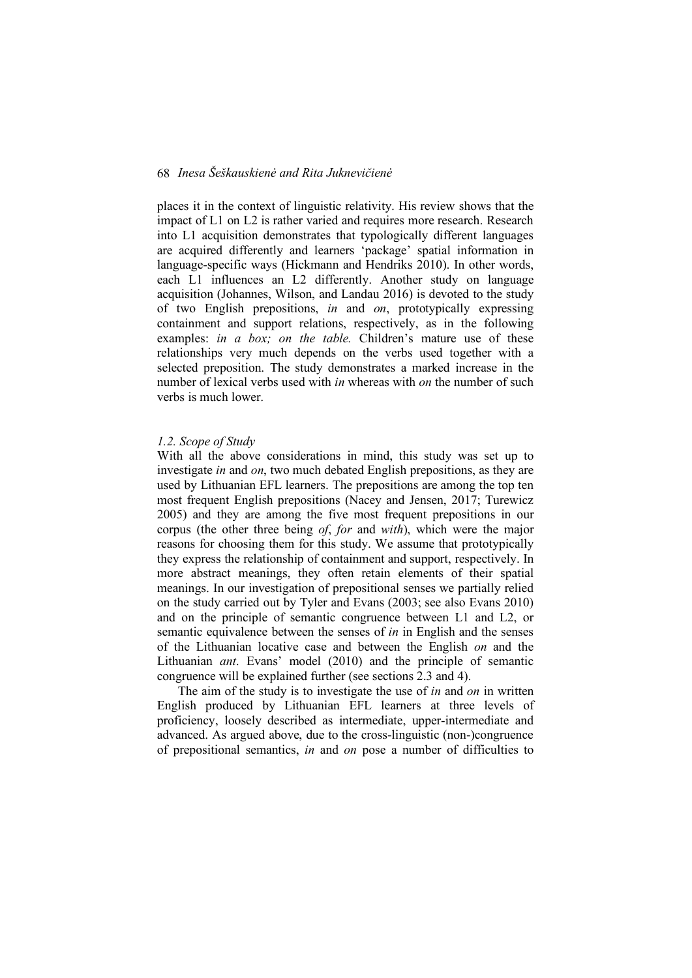places it in the context of linguistic relativity. His review shows that the impact of L1 on L2 is rather varied and requires more research. Research into L1 acquisition demonstrates that typologically different languages are acquired differently and learners 'package' spatial information in language-specific ways (Hickmann and Hendriks 2010). In other words, each L1 influences an L2 differently. Another study on language acquisition (Johannes, Wilson, and Landau 2016) is devoted to the study of two English prepositions, *in* and *on*, prototypically expressing containment and support relations, respectively, as in the following examples: *in a box; on the table.* Children's mature use of these relationships very much depends on the verbs used together with a selected preposition. The study demonstrates a marked increase in the number of lexical verbs used with *in* whereas with *on* the number of such verbs is much lower.

#### *1.2. Scope of Study*

With all the above considerations in mind, this study was set up to investigate *in* and *on*, two much debated English prepositions, as they are used by Lithuanian EFL learners. The prepositions are among the top ten most frequent English prepositions (Nacey and Jensen, 2017; Turewicz 2005) and they are among the five most frequent prepositions in our corpus (the other three being *of*, *for* and *with*), which were the major reasons for choosing them for this study. We assume that prototypically they express the relationship of containment and support, respectively. In more abstract meanings, they often retain elements of their spatial meanings. In our investigation of prepositional senses we partially relied on the study carried out by Tyler and Evans (2003; see also Evans 2010) and on the principle of semantic congruence between L1 and L2, or semantic equivalence between the senses of *in* in English and the senses of the Lithuanian locative case and between the English *on* and the Lithuanian *ant*. Evans' model (2010) and the principle of semantic congruence will be explained further (see sections 2.3 and 4).

The aim of the study is to investigate the use of *in* and *on* in written English produced by Lithuanian EFL learners at three levels of proficiency, loosely described as intermediate, upper-intermediate and advanced. As argued above, due to the cross-linguistic (non-)congruence of prepositional semantics, *in* and *on* pose a number of difficulties to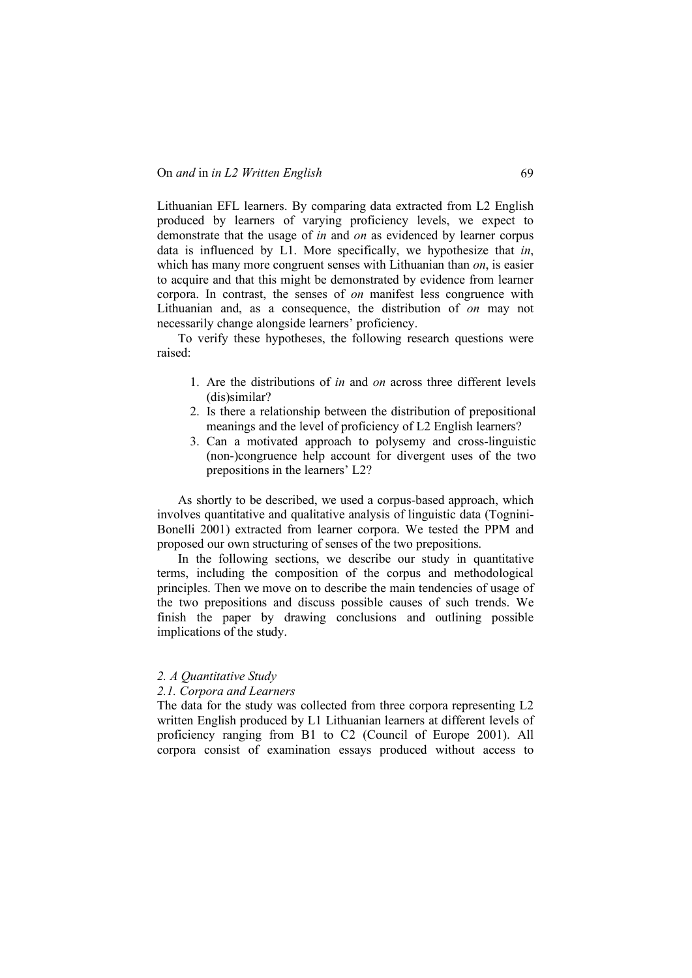Lithuanian EFL learners. By comparing data extracted from L2 English produced by learners of varying proficiency levels, we expect to demonstrate that the usage of *in* and *on* as evidenced by learner corpus data is influenced by L1. More specifically, we hypothesize that *in*, which has many more congruent senses with Lithuanian than *on*, is easier to acquire and that this might be demonstrated by evidence from learner corpora. In contrast, the senses of *on* manifest less congruence with Lithuanian and, as a consequence, the distribution of *on* may not necessarily change alongside learners' proficiency.

To verify these hypotheses, the following research questions were raised:

- 1. Are the distributions of *in* and *on* across three different levels (dis)similar?
- 2. Is there a relationship between the distribution of prepositional meanings and the level of proficiency of L2 English learners?
- 3. Can a motivated approach to polysemy and cross-linguistic (non-)congruence help account for divergent uses of the two prepositions in the learners' L2?

As shortly to be described, we used a corpus-based approach, which involves quantitative and qualitative analysis of linguistic data (Tognini-Bonelli 2001) extracted from learner corpora. We tested the PPM and proposed our own structuring of senses of the two prepositions.

In the following sections, we describe our study in quantitative terms, including the composition of the corpus and methodological principles. Then we move on to describe the main tendencies of usage of the two prepositions and discuss possible causes of such trends. We finish the paper by drawing conclusions and outlining possible implications of the study.

#### *2. A Quantitative Study*

#### *2.1. Corpora and Learners*

The data for the study was collected from three corpora representing L2 written English produced by L1 Lithuanian learners at different levels of proficiency ranging from B1 to C2 (Council of Europe 2001). All corpora consist of examination essays produced without access to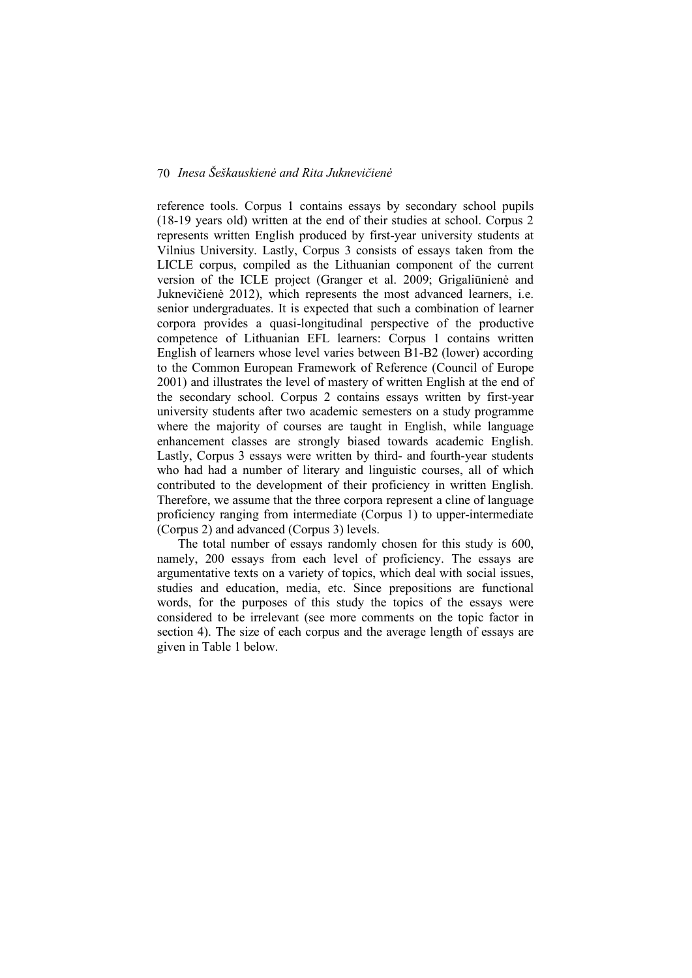reference tools. Corpus 1 contains essays by secondary school pupils (18-19 years old) written at the end of their studies at school. Corpus 2 represents written English produced by first-year university students at Vilnius University. Lastly, Corpus 3 consists of essays taken from the LICLE corpus, compiled as the Lithuanian component of the current version of the ICLE project (Granger et al. 2009; Grigaliūnienė and Juknevičienė 2012), which represents the most advanced learners, i.e. senior undergraduates. It is expected that such a combination of learner corpora provides a quasi-longitudinal perspective of the productive competence of Lithuanian EFL learners: Corpus 1 contains written English of learners whose level varies between B1-B2 (lower) according to the Common European Framework of Reference (Council of Europe 2001) and illustrates the level of mastery of written English at the end of the secondary school. Corpus 2 contains essays written by first-year university students after two academic semesters on a study programme where the majority of courses are taught in English, while language enhancement classes are strongly biased towards academic English. Lastly, Corpus 3 essays were written by third- and fourth-year students who had had a number of literary and linguistic courses, all of which contributed to the development of their proficiency in written English. Therefore, we assume that the three corpora represent a cline of language proficiency ranging from intermediate (Corpus 1) to upper-intermediate (Corpus 2) and advanced (Corpus 3) levels.

The total number of essays randomly chosen for this study is 600, namely, 200 essays from each level of proficiency. The essays are argumentative texts on a variety of topics, which deal with social issues, studies and education, media, etc. Since prepositions are functional words, for the purposes of this study the topics of the essays were considered to be irrelevant (see more comments on the topic factor in section 4). The size of each corpus and the average length of essays are given in Table 1 below.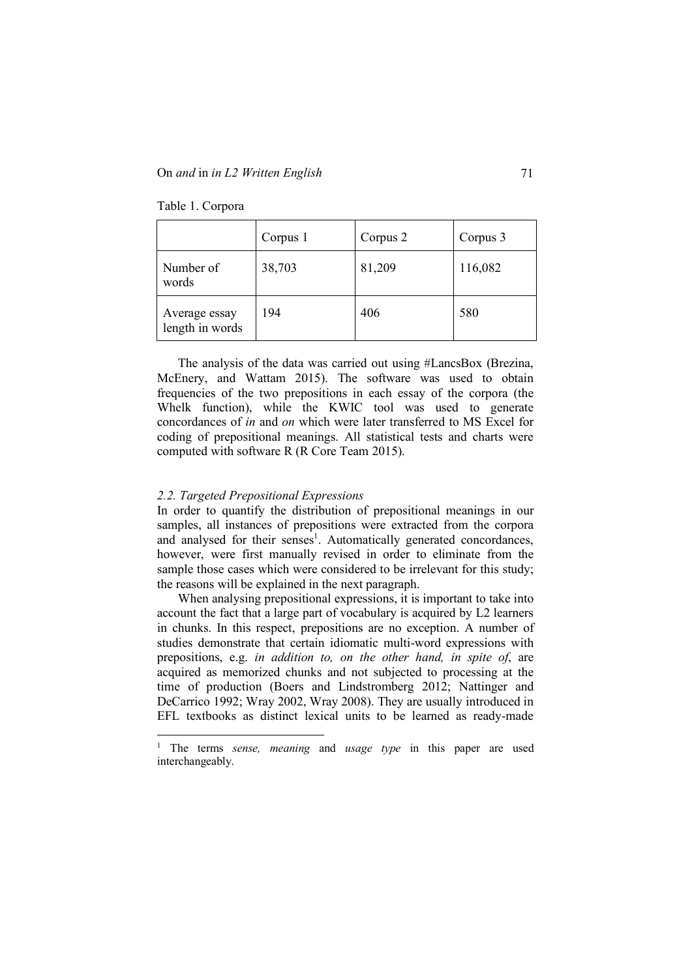|                                  | Corpus 1 | Corpus 2 | Corpus 3 |
|----------------------------------|----------|----------|----------|
| Number of<br>words               | 38,703   | 81,209   | 116,082  |
| Average essay<br>length in words | 194      | 406      | 580      |

Table 1. Corpora

The analysis of the data was carried out using #LancsBox (Brezina, McEnery, and Wattam 2015). The software was used to obtain frequencies of the two prepositions in each essay of the corpora (the Whelk function), while the KWIC tool was used to generate concordances of *in* and *on* which were later transferred to MS Excel for coding of prepositional meanings. All statistical tests and charts were computed with software R (R Core Team 2015).

#### *2.2. Targeted Prepositional Expressions*

In order to quantify the distribution of prepositional meanings in our samples, all instances of prepositions were extracted from the corpora and analysed for their senses<sup>1</sup>. Automatically generated concordances, however, were first manually revised in order to eliminate from the sample those cases which were considered to be irrelevant for this study; the reasons will be explained in the next paragraph.

When analysing prepositional expressions, it is important to take into account the fact that a large part of vocabulary is acquired by L2 learners in chunks. In this respect, prepositions are no exception. A number of studies demonstrate that certain idiomatic multi-word expressions with prepositions, e.g. *in addition to, on the other hand, in spite of*, are acquired as memorized chunks and not subjected to processing at the time of production (Boers and Lindstromberg 2012; Nattinger and DeCarrico 1992; Wray 2002, Wray 2008). They are usually introduced in EFL textbooks as distinct lexical units to be learned as ready-made

 <sup>1</sup> The terms *sense, meaning* and *usage type* in this paper are used interchangeably.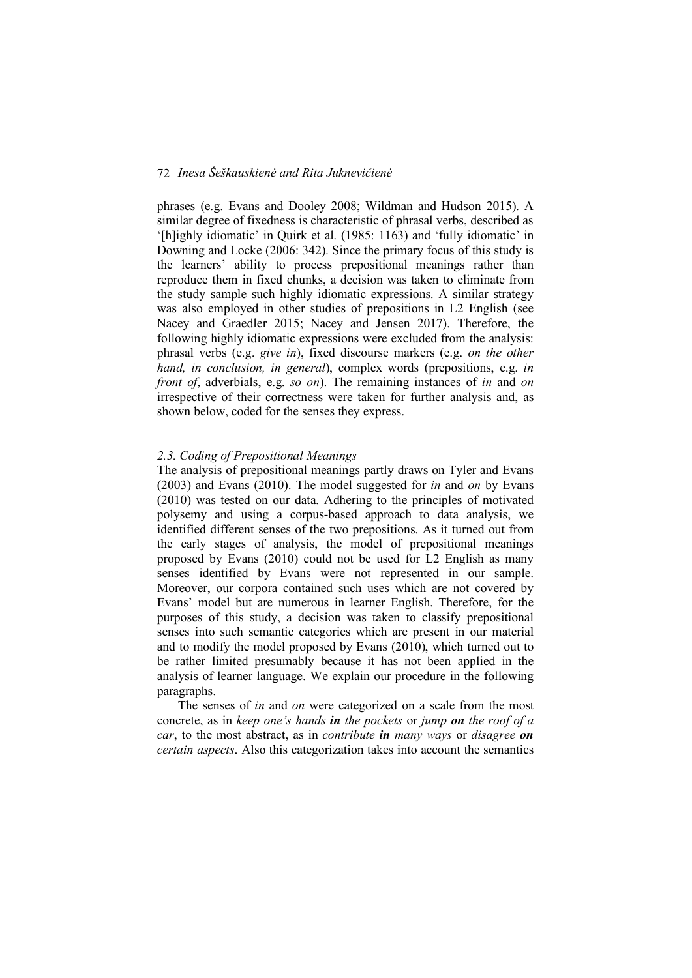phrases (e.g. Evans and Dooley 2008; Wildman and Hudson 2015). A similar degree of fixedness is characteristic of phrasal verbs, described as '[h]ighly idiomatic' in Quirk et al. (1985: 1163) and 'fully idiomatic' in Downing and Locke (2006: 342). Since the primary focus of this study is the learners' ability to process prepositional meanings rather than reproduce them in fixed chunks, a decision was taken to eliminate from the study sample such highly idiomatic expressions. A similar strategy was also employed in other studies of prepositions in L2 English (see Nacey and Graedler 2015; Nacey and Jensen 2017). Therefore, the following highly idiomatic expressions were excluded from the analysis: phrasal verbs (e.g. *give in*), fixed discourse markers (e.g. *on the other hand, in conclusion, in general*), complex words (prepositions, e.g. *in front of*, adverbials, e.g. *so on*). The remaining instances of *in* and *on*  irrespective of their correctness were taken for further analysis and, as shown below, coded for the senses they express.

#### *2.3. Coding of Prepositional Meanings*

The analysis of prepositional meanings partly draws on Tyler and Evans (2003) and Evans (2010). The model suggested for *in* and *on* by Evans (2010) was tested on our data. Adhering to the principles of motivated polysemy and using a corpus-based approach to data analysis, we identified different senses of the two prepositions. As it turned out from the early stages of analysis, the model of prepositional meanings proposed by Evans (2010) could not be used for L2 English as many senses identified by Evans were not represented in our sample. Moreover, our corpora contained such uses which are not covered by Evans' model but are numerous in learner English. Therefore, for the purposes of this study, a decision was taken to classify prepositional senses into such semantic categories which are present in our material and to modify the model proposed by Evans (2010), which turned out to be rather limited presumably because it has not been applied in the analysis of learner language. We explain our procedure in the following paragraphs.

The senses of *in* and *on* were categorized on a scale from the most concrete, as in *keep one's hands in the pockets* or *jump on the roof of a car*, to the most abstract, as in *contribute in many ways* or *disagree on certain aspects*. Also this categorization takes into account the semantics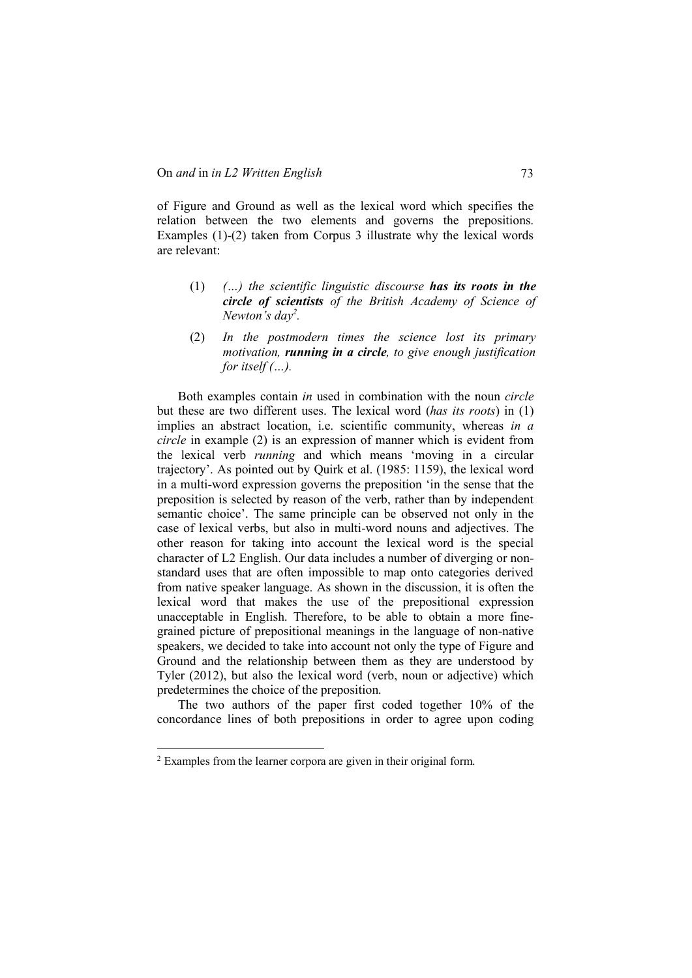of Figure and Ground as well as the lexical word which specifies the relation between the two elements and governs the prepositions. Examples (1)-(2) taken from Corpus 3 illustrate why the lexical words are relevant:

- (1) *(…) the scientific linguistic discourse has its roots in the circle of scientists of the British Academy of Science of Newton's day2 .*
- (2) *In the postmodern times the science lost its primary motivation, running in a circle, to give enough justification for itself (…).*

Both examples contain *in* used in combination with the noun *circle* but these are two different uses. The lexical word (*has its roots*) in (1) implies an abstract location, i.e. scientific community, whereas *in a circle* in example (2) is an expression of manner which is evident from the lexical verb *running* and which means 'moving in a circular trajectory'. As pointed out by Quirk et al. (1985: 1159), the lexical word in a multi-word expression governs the preposition 'in the sense that the preposition is selected by reason of the verb, rather than by independent semantic choice'. The same principle can be observed not only in the case of lexical verbs, but also in multi-word nouns and adjectives. The other reason for taking into account the lexical word is the special character of L2 English. Our data includes a number of diverging or nonstandard uses that are often impossible to map onto categories derived from native speaker language. As shown in the discussion, it is often the lexical word that makes the use of the prepositional expression unacceptable in English. Therefore, to be able to obtain a more finegrained picture of prepositional meanings in the language of non-native speakers, we decided to take into account not only the type of Figure and Ground and the relationship between them as they are understood by Tyler (2012), but also the lexical word (verb, noun or adjective) which predetermines the choice of the preposition.

The two authors of the paper first coded together 10% of the concordance lines of both prepositions in order to agree upon coding

 <sup>2</sup> Examples from the learner corpora are given in their original form.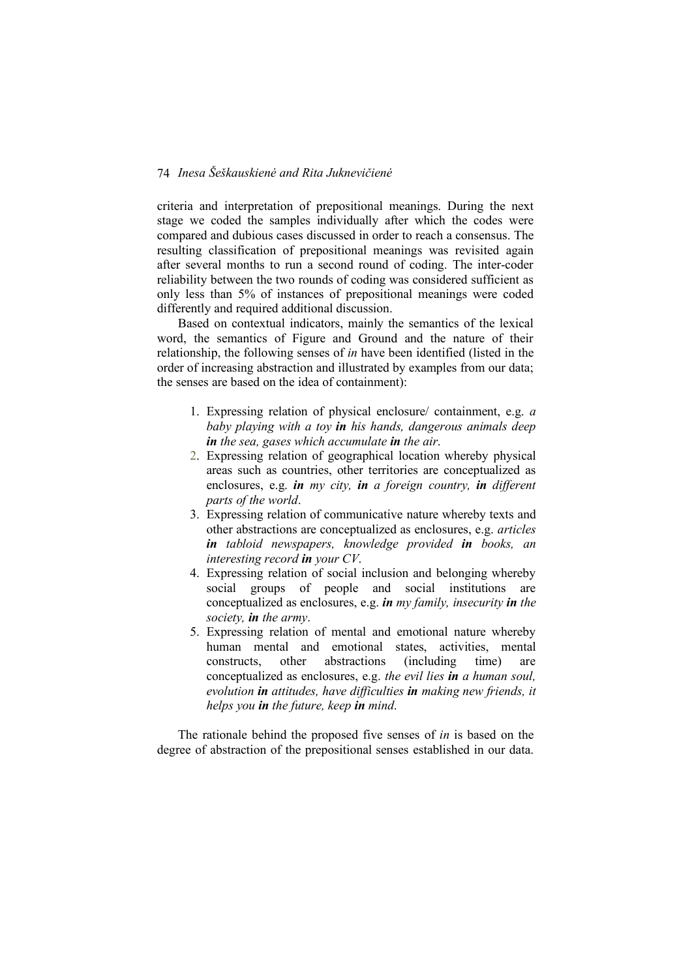criteria and interpretation of prepositional meanings. During the next stage we coded the samples individually after which the codes were compared and dubious cases discussed in order to reach a consensus. The resulting classification of prepositional meanings was revisited again after several months to run a second round of coding. The inter-coder reliability between the two rounds of coding was considered sufficient as only less than 5% of instances of prepositional meanings were coded differently and required additional discussion.

Based on contextual indicators, mainly the semantics of the lexical word, the semantics of Figure and Ground and the nature of their relationship, the following senses of *in* have been identified (listed in the order of increasing abstraction and illustrated by examples from our data; the senses are based on the idea of containment):

- 1. Expressing relation of physical enclosure/ containment, e.g. *a baby playing with a toy in his hands, dangerous animals deep in the sea, gases which accumulate in the air*.
- 2. Expressing relation of geographical location whereby physical areas such as countries, other territories are conceptualized as enclosures, e.g. *in my city, in a foreign country, in different parts of the world*.
- 3. Expressing relation of communicative nature whereby texts and other abstractions are conceptualized as enclosures, e.g. *articles in tabloid newspapers, knowledge provided in books, an interesting record in your CV*.
- 4. Expressing relation of social inclusion and belonging whereby social groups of people and social institutions are conceptualized as enclosures, e.g. *in my family, insecurity in the society, in the army*.
- 5. Expressing relation of mental and emotional nature whereby human mental and emotional states, activities, mental constructs, other abstractions (including time) are conceptualized as enclosures, e.g. *the evil lies in a human soul, evolution in attitudes, have difficulties in making new friends, it helps you in the future, keep in mind*.

The rationale behind the proposed five senses of *in* is based on the degree of abstraction of the prepositional senses established in our data.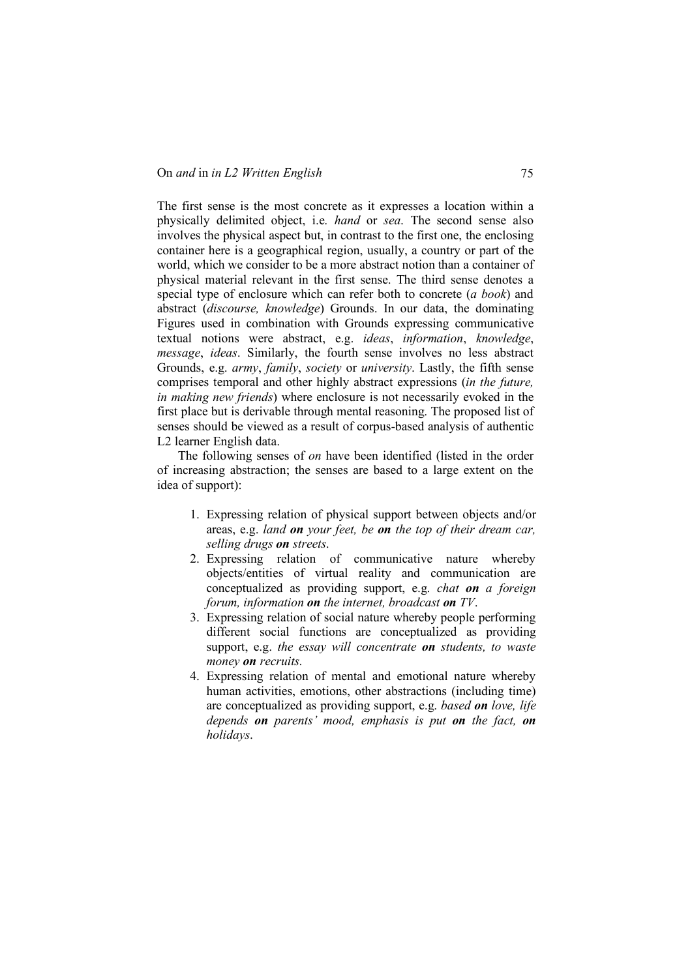The first sense is the most concrete as it expresses a location within a physically delimited object, i.e. *hand* or *sea*. The second sense also involves the physical aspect but, in contrast to the first one, the enclosing container here is a geographical region, usually, a country or part of the world, which we consider to be a more abstract notion than a container of physical material relevant in the first sense. The third sense denotes a special type of enclosure which can refer both to concrete (*a book*) and abstract (*discourse, knowledge*) Grounds. In our data, the dominating Figures used in combination with Grounds expressing communicative textual notions were abstract, e.g. *ideas*, *information*, *knowledge*, *message*, *ideas*. Similarly, the fourth sense involves no less abstract Grounds, e.g. *army*, *family*, *society* or *university*. Lastly, the fifth sense comprises temporal and other highly abstract expressions (*in the future, in making new friends*) where enclosure is not necessarily evoked in the first place but is derivable through mental reasoning. The proposed list of senses should be viewed as a result of corpus-based analysis of authentic L2 learner English data.

The following senses of *on* have been identified (listed in the order of increasing abstraction; the senses are based to a large extent on the idea of support):

- 1. Expressing relation of physical support between objects and/or areas, e.g. *land on your feet, be on the top of their dream car, selling drugs on streets*.
- 2. Expressing relation of communicative nature whereby objects/entities of virtual reality and communication are conceptualized as providing support, e.g. *chat on a foreign forum, information on the internet, broadcast on TV*.
- 3. Expressing relation of social nature whereby people performing different social functions are conceptualized as providing support, e.g. *the essay will concentrate on students, to waste money on recruits.*
- 4. Expressing relation of mental and emotional nature whereby human activities, emotions, other abstractions (including time) are conceptualized as providing support, e.g. *based on love, life depends on parents' mood, emphasis is put on the fact, on holidays*.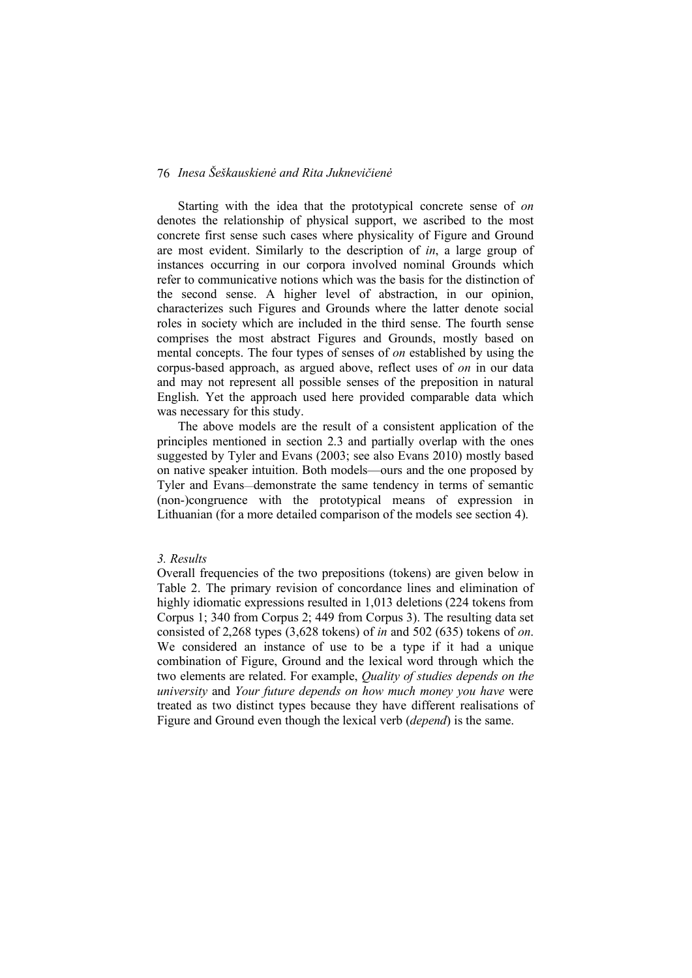Starting with the idea that the prototypical concrete sense of *on* denotes the relationship of physical support, we ascribed to the most concrete first sense such cases where physicality of Figure and Ground are most evident. Similarly to the description of *in*, a large group of instances occurring in our corpora involved nominal Grounds which refer to communicative notions which was the basis for the distinction of the second sense. A higher level of abstraction, in our opinion, characterizes such Figures and Grounds where the latter denote social roles in society which are included in the third sense. The fourth sense comprises the most abstract Figures and Grounds, mostly based on mental concepts. The four types of senses of *on* established by using the corpus-based approach, as argued above, reflect uses of *on* in our data and may not represent all possible senses of the preposition in natural English. Yet the approach used here provided comparable data which was necessary for this study.

The above models are the result of a consistent application of the principles mentioned in section 2.3 and partially overlap with the ones suggested by Tyler and Evans (2003; see also Evans 2010) mostly based on native speaker intuition. Both models—ours and the one proposed by Tyler and Evans—demonstrate the same tendency in terms of semantic (non-)congruence with the prototypical means of expression in Lithuanian (for a more detailed comparison of the models see section 4).

### *3. Results*

Overall frequencies of the two prepositions (tokens) are given below in Table 2. The primary revision of concordance lines and elimination of highly idiomatic expressions resulted in 1,013 deletions (224 tokens from Corpus 1; 340 from Corpus 2; 449 from Corpus 3). The resulting data set consisted of 2,268 types (3,628 tokens) of *in* and 502 (635) tokens of *on*. We considered an instance of use to be a type if it had a unique combination of Figure, Ground and the lexical word through which the two elements are related. For example, *Quality of studies depends on the university* and *Your future depends on how much money you have* were treated as two distinct types because they have different realisations of Figure and Ground even though the lexical verb (*depend*) is the same.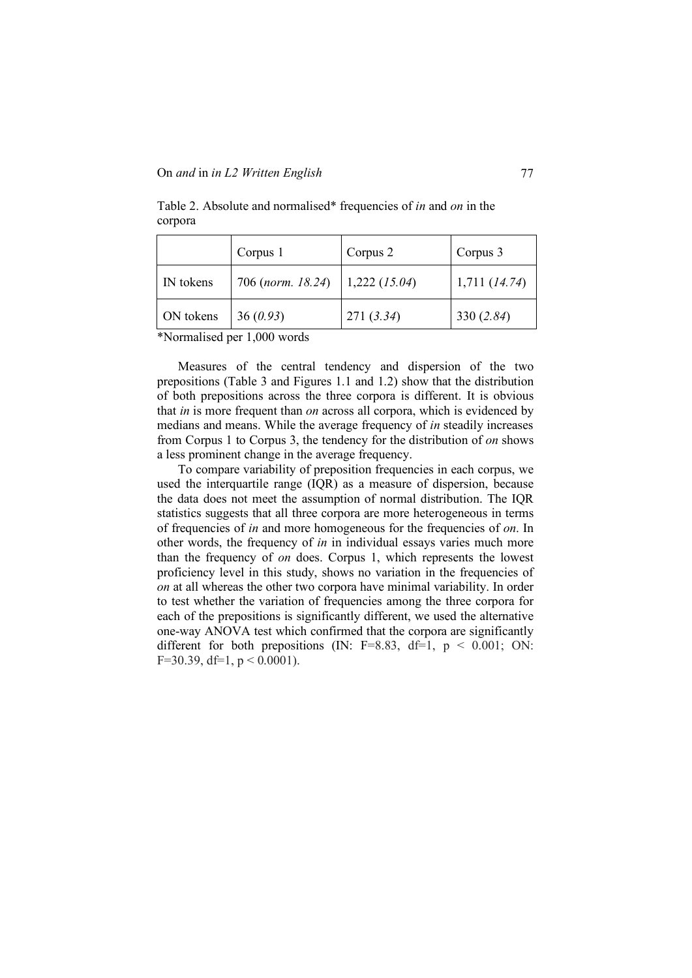|           | Corpus 1          | Corpus 2        | Corpus 3          |
|-----------|-------------------|-----------------|-------------------|
| IN tokens | 706 (norm. 18.24) | $1,222$ (15.04) | $1,711$ $(14.74)$ |
| ON tokens | 36(0.93)          | 271(3.34)       | 330 $(2.84)$      |

Table 2. Absolute and normalised\* frequencies of *in* and *on* in the corpora

\*Normalised per 1,000 words

Measures of the central tendency and dispersion of the two prepositions (Table 3 and Figures 1.1 and 1.2) show that the distribution of both prepositions across the three corpora is different. It is obvious that *in* is more frequent than *on* across all corpora, which is evidenced by medians and means. While the average frequency of *in* steadily increases from Corpus 1 to Corpus 3, the tendency for the distribution of *on* shows a less prominent change in the average frequency.

To compare variability of preposition frequencies in each corpus, we used the interquartile range (IQR) as a measure of dispersion, because the data does not meet the assumption of normal distribution. The IQR statistics suggests that all three corpora are more heterogeneous in terms of frequencies of *in* and more homogeneous for the frequencies of *on*. In other words, the frequency of *in* in individual essays varies much more than the frequency of *on* does. Corpus 1, which represents the lowest proficiency level in this study, shows no variation in the frequencies of *on* at all whereas the other two corpora have minimal variability. In order to test whether the variation of frequencies among the three corpora for each of the prepositions is significantly different, we used the alternative one-way ANOVA test which confirmed that the corpora are significantly different for both prepositions (IN:  $F=8.83$ ,  $df=1$ ,  $p < 0.001$ ; ON: F=30.39, df=1,  $p < 0.0001$ ).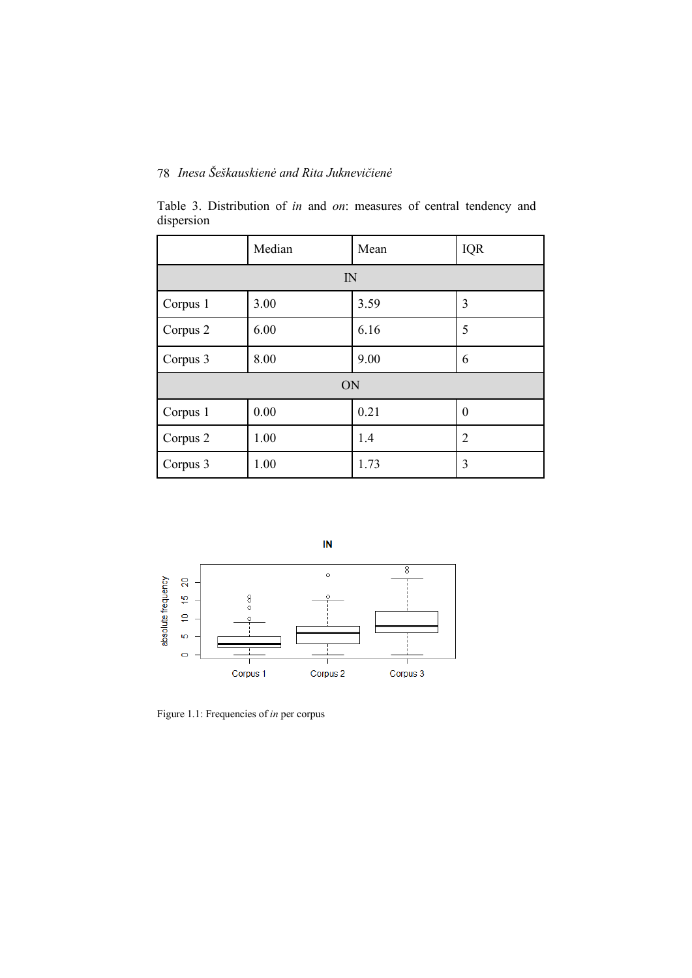|            | Table 3. Distribution of <i>in</i> and <i>on</i> : measures of central tendency and |  |  |  |  |
|------------|-------------------------------------------------------------------------------------|--|--|--|--|
| dispersion |                                                                                     |  |  |  |  |

|          | Median | Mean | <b>IQR</b>       |  |  |  |
|----------|--------|------|------------------|--|--|--|
|          | IN     |      |                  |  |  |  |
| Corpus 1 | 3.00   | 3.59 | 3                |  |  |  |
| Corpus 2 | 6.00   | 6.16 | 5                |  |  |  |
| Corpus 3 | 8.00   | 9.00 | 6                |  |  |  |
| ON       |        |      |                  |  |  |  |
| Corpus 1 | 0.00   | 0.21 | $\boldsymbol{0}$ |  |  |  |
| Corpus 2 | 1.00   | 1.4  | $\overline{2}$   |  |  |  |
| Corpus 3 | 1.00   | 1.73 | 3                |  |  |  |



Figure 1.1: Frequencies of *in* per corpus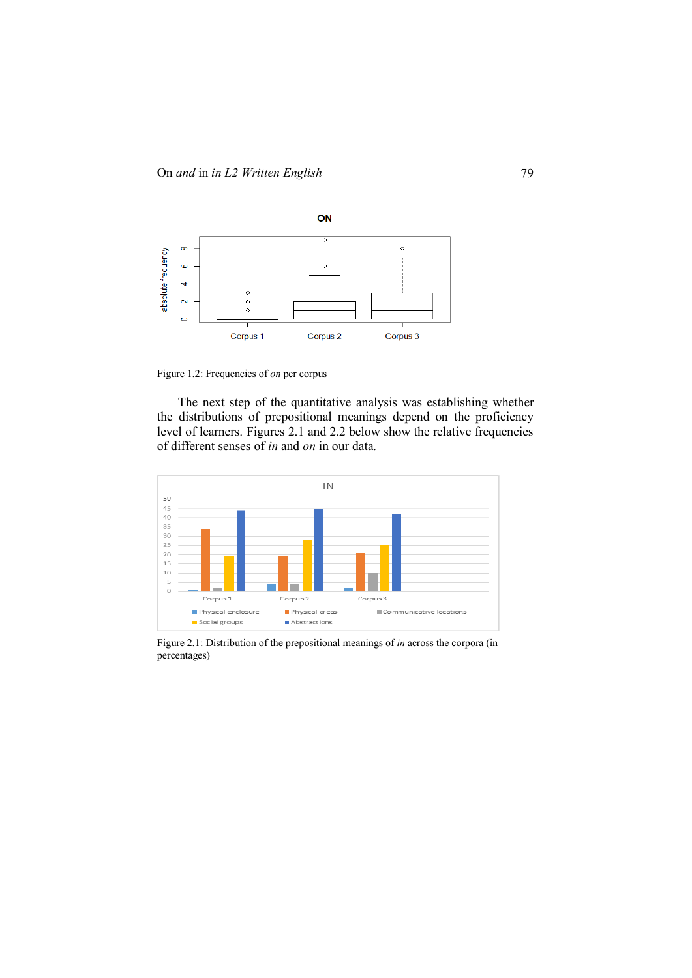

Figure 1.2: Frequencies of *on* per corpus

The next step of the quantitative analysis was establishing whether the distributions of prepositional meanings depend on the proficiency level of learners. Figures 2.1 and 2.2 below show the relative frequencies of different senses of *in* and *on* in our data.



Figure 2.1: Distribution of the prepositional meanings of *in* across the corpora (in percentages)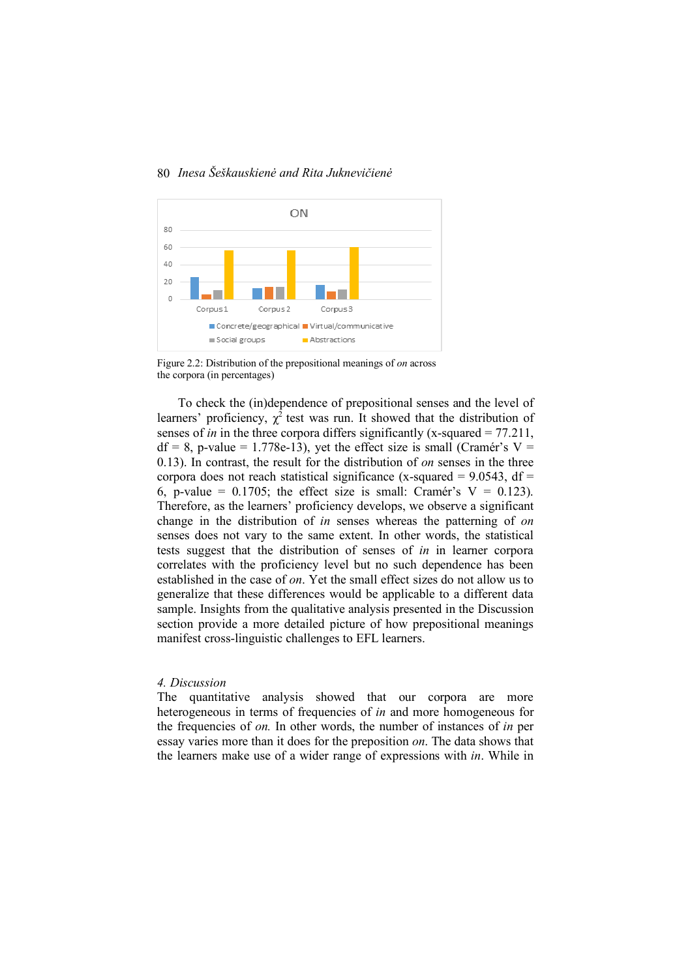



Figure 2.2: Distribution of the prepositional meanings of *on* across the corpora (in percentages)

To check the (in)dependence of prepositional senses and the level of learners' proficiency,  $\chi^2$  test was run. It showed that the distribution of senses of *in* in the three corpora differs significantly (x-squared = 77.211,  $df = 8$ , p-value = 1.778e-13), yet the effect size is small (Cramér's V = 0.13). In contrast, the result for the distribution of *on* senses in the three corpora does not reach statistical significance (x-squared =  $9.0543$ , df = 6, p-value =  $0.1705$ ; the effect size is small: Cramér's V = 0.123). Therefore, as the learners' proficiency develops, we observe a significant change in the distribution of *in* senses whereas the patterning of *on* senses does not vary to the same extent. In other words, the statistical tests suggest that the distribution of senses of *in* in learner corpora correlates with the proficiency level but no such dependence has been established in the case of *on*. Yet the small effect sizes do not allow us to generalize that these differences would be applicable to a different data sample. Insights from the qualitative analysis presented in the Discussion section provide a more detailed picture of how prepositional meanings manifest cross-linguistic challenges to EFL learners.

#### *4. Discussion*

The quantitative analysis showed that our corpora are more heterogeneous in terms of frequencies of *in* and more homogeneous for the frequencies of *on.* In other words, the number of instances of *in* per essay varies more than it does for the preposition *on*. The data shows that the learners make use of a wider range of expressions with *in*. While in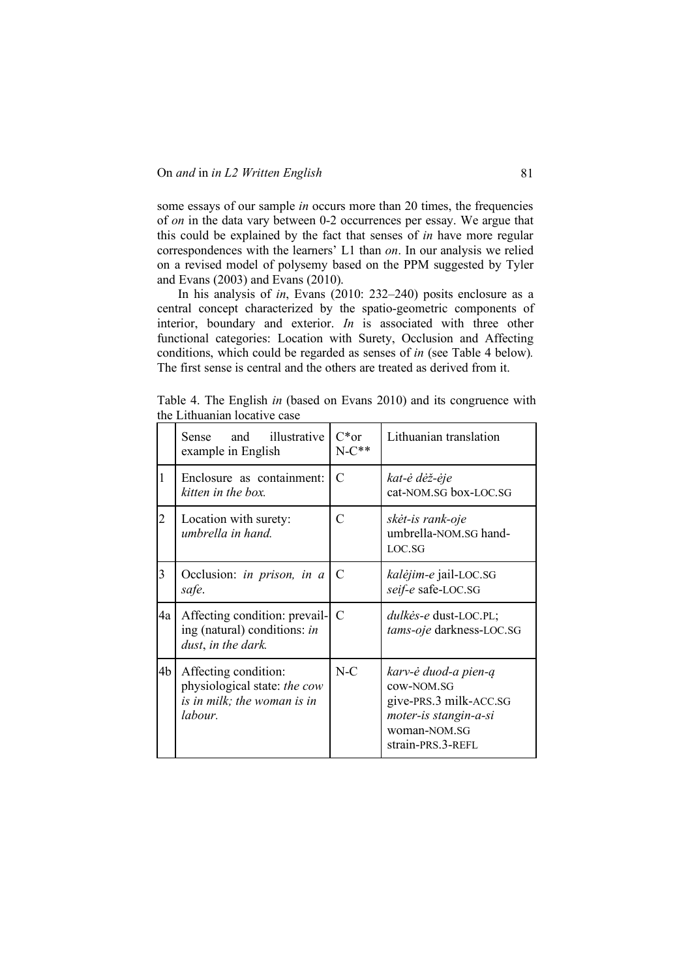some essays of our sample *in* occurs more than 20 times, the frequencies of *on* in the data vary between 0-2 occurrences per essay. We argue that this could be explained by the fact that senses of *in* have more regular correspondences with the learners' L1 than *on*. In our analysis we relied on a revised model of polysemy based on the PPM suggested by Tyler and Evans (2003) and Evans (2010).

In his analysis of *in*, Evans (2010: 232–240) posits enclosure as a central concept characterized by the spatio-geometric components of interior, boundary and exterior. *In* is associated with three other functional categories: Location with Surety, Occlusion and Affecting conditions, which could be regarded as senses of *in* (see Table 4 below)*.* The first sense is central and the others are treated as derived from it.

Table 4. The English *in* (based on Evans 2010) and its congruence with the Lithuanian locative case

|                | illustrative<br>Sense and<br>example in English                                                | $C*or$<br>$N-C**$ | Lithuanian translation                                                                                                     |
|----------------|------------------------------------------------------------------------------------------------|-------------------|----------------------------------------------------------------------------------------------------------------------------|
| 1              | Enclosure as containment:<br>kitten in the box.                                                | $\mathcal{C}$     | kat-ė dėž-ėje<br>cat-NOM.SG box-LOC.SG                                                                                     |
| $\overline{2}$ | Location with surety:<br>umbrella in hand.                                                     | C                 | skėt-is rank-oje<br>umbrella-NOM.SG hand-<br>LOC.SG                                                                        |
| 3              | Occlusion: in prison, in a<br>safe.                                                            | C                 | kalėjim-e jail-LOC.SG<br>seif-e safe-LOC.SG                                                                                |
| 4a             | Affecting condition: prevail-<br>ing (natural) conditions: in<br>dust, in the dark.            | $\mathcal{C}$     | dulkės-e dust-LOC.PL;<br>tams-oje darkness-LOC.SG                                                                          |
| 4b             | Affecting condition:<br>physiological state: the cow<br>is in milk; the woman is in<br>labour. | $N-C$             | karv-ė duod-a pien-ą<br>cow-NOM.SG<br>give-PRS.3 milk-ACC.SG<br>moter-is stangin-a-si<br>woman-NOM.SG<br>strain-PRS.3-REFL |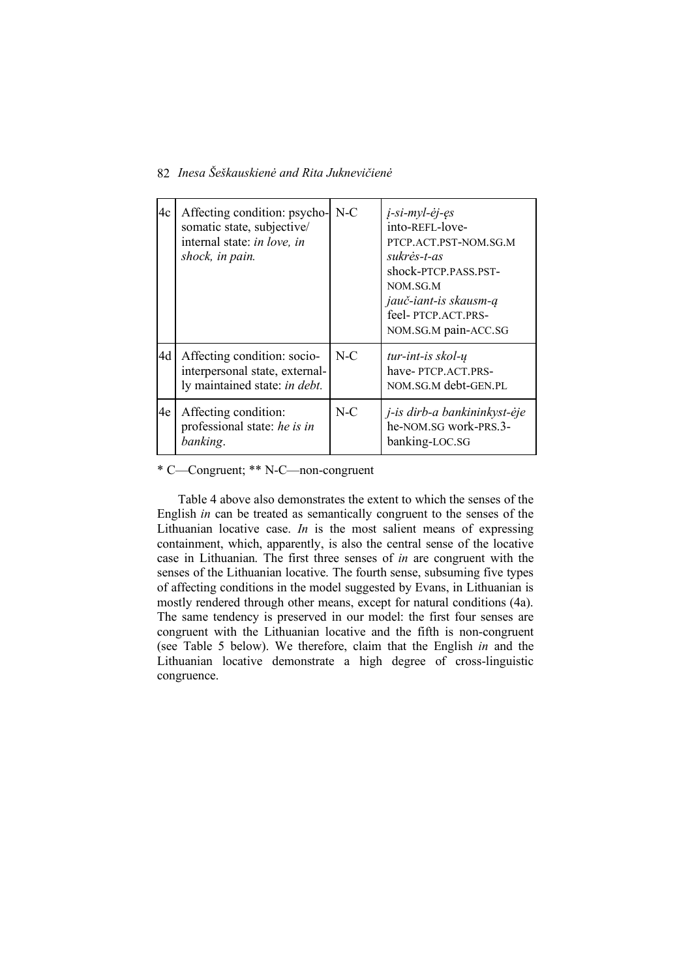| 4c | Affecting condition: psycho- N-C<br>somatic state, subjective/<br>internal state: in love, in<br>shock, in pain. |       | <i>j</i> -si-myl-ėj-ęs<br>into-REFL-love-<br>PTCP.ACT.PST-NOM.SG.M<br>sukrės-t-as<br>shock-PTCP.PASS.PST-<br>NOM.SG.M<br>jauč-iant-is skausm-ą<br>feel-PTCP.ACT.PRS-<br>NOM.SG.M pain-ACC.SG |
|----|------------------------------------------------------------------------------------------------------------------|-------|----------------------------------------------------------------------------------------------------------------------------------------------------------------------------------------------|
| 4d | Affecting condition: socio-<br>interpersonal state, external-<br>ly maintained state: in debt.                   | $N-C$ | $tur$ -int-is skol- $\mu$<br>have-PTCP.ACT.PRS-<br>NOM.SG.M debt-GEN.PL                                                                                                                      |
| 4e | Affecting condition:<br>professional state: he is in<br>banking.                                                 | $N-C$ | j-is dirb-a bankininkyst-ėje<br>he-NOM.SG work-PRS.3-<br>banking-LOC.SG                                                                                                                      |

\* C—Congruent; \*\* N-C—non-congruent

Table 4 above also demonstrates the extent to which the senses of the English *in* can be treated as semantically congruent to the senses of the Lithuanian locative case. *In* is the most salient means of expressing containment, which, apparently, is also the central sense of the locative case in Lithuanian. The first three senses of *in* are congruent with the senses of the Lithuanian locative. The fourth sense, subsuming five types of affecting conditions in the model suggested by Evans, in Lithuanian is mostly rendered through other means, except for natural conditions (4a). The same tendency is preserved in our model: the first four senses are congruent with the Lithuanian locative and the fifth is non-congruent (see Table 5 below). We therefore, claim that the English *in* and the Lithuanian locative demonstrate a high degree of cross-linguistic congruence.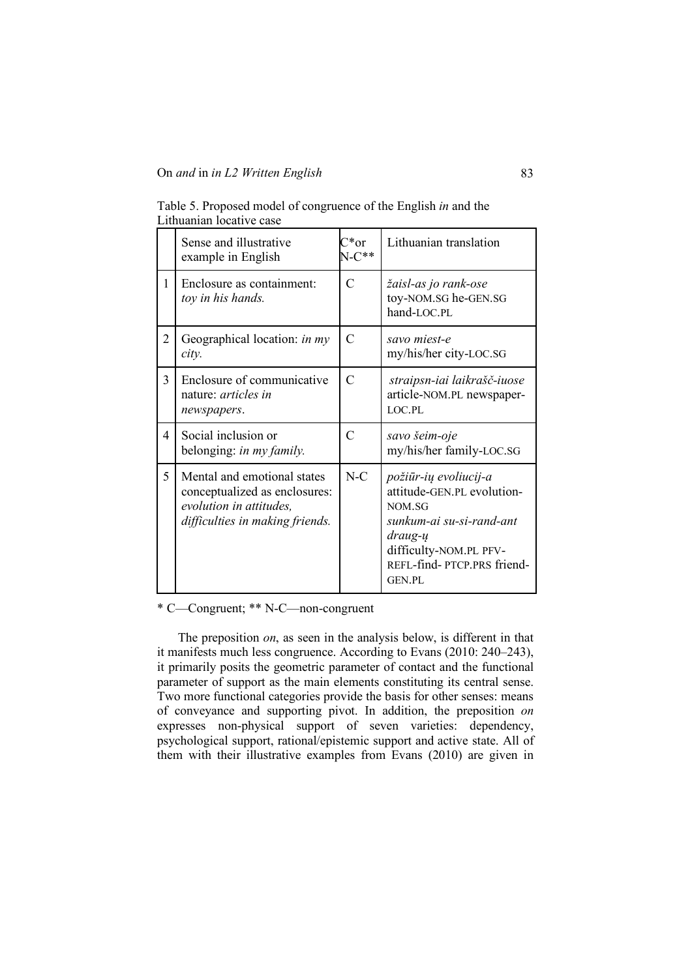Table 5. Proposed model of congruence of the English *in* and the Lithuanian locative case

|                | Sense and illustrative<br>example in English                                                                               | $C^*$ or<br>$N-C**$ | Lithuanian translation                                                                                                                                                        |
|----------------|----------------------------------------------------------------------------------------------------------------------------|---------------------|-------------------------------------------------------------------------------------------------------------------------------------------------------------------------------|
| 1              | Enclosure as containment:<br>toy in his hands.                                                                             | $\overline{C}$      | žaisl-as jo rank-ose<br>toy-NOM.SG he-GEN.SG<br>hand-LOC.PL                                                                                                                   |
| 2              | Geographical location: in my<br>city.                                                                                      | $\mathcal{C}$       | savo miest-e<br>my/his/her city-LOC.SG                                                                                                                                        |
| 3              | Enclosure of communicative<br>nature: <i>articles in</i><br>newspapers.                                                    | $\mathcal{C}$       | straipsn-iai laikrašč-iuose<br>article-NOM.PL newspaper-<br>LOC PL                                                                                                            |
| $\overline{4}$ | Social inclusion or<br>belonging: in my family.                                                                            | $\overline{C}$      | savo šeim-oje<br>my/his/her family-LOC.SG                                                                                                                                     |
| 5              | Mental and emotional states<br>conceptualized as enclosures:<br>evolution in attitudes,<br>difficulties in making friends. | $N-C$               | požiūr-ių evoliucij-a<br>attitude-GEN.PL evolution-<br>NOM.SG<br>sunkum-ai su-si-rand-ant<br>draug-ų<br>difficulty-NOM.PL PFV-<br>REFL-find-PTCP.PRS friend-<br><b>GEN.PL</b> |

\* C—Congruent; \*\* N-C—non-congruent

The preposition *on*, as seen in the analysis below, is different in that it manifests much less congruence. According to Evans (2010: 240–243), it primarily posits the geometric parameter of contact and the functional parameter of support as the main elements constituting its central sense. Two more functional categories provide the basis for other senses: means of conveyance and supporting pivot. In addition, the preposition *on*  expresses non-physical support of seven varieties: dependency, psychological support, rational/epistemic support and active state. All of them with their illustrative examples from Evans (2010) are given in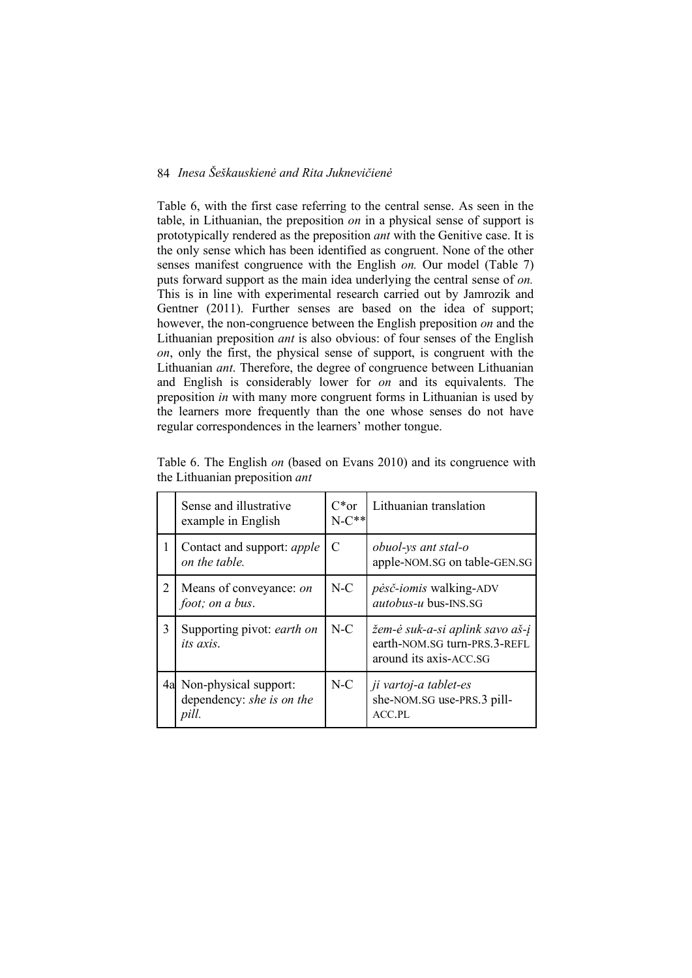Table 6, with the first case referring to the central sense. As seen in the table, in Lithuanian, the preposition *on* in a physical sense of support is prototypically rendered as the preposition *ant* with the Genitive case. It is the only sense which has been identified as congruent. None of the other senses manifest congruence with the English *on.* Our model (Table 7) puts forward support as the main idea underlying the central sense of *on.*  This is in line with experimental research carried out by Jamrozik and Gentner (2011). Further senses are based on the idea of support; however, the non-congruence between the English preposition *on* and the Lithuanian preposition *ant* is also obvious: of four senses of the English *on*, only the first, the physical sense of support, is congruent with the Lithuanian *ant*. Therefore, the degree of congruence between Lithuanian and English is considerably lower for *on* and its equivalents. The preposition *in* with many more congruent forms in Lithuanian is used by the learners more frequently than the one whose senses do not have regular correspondences in the learners' mother tongue.

|   | Sense and illustrative<br>example in English                   | $C*or$<br>$N-C**$ | Lithuanian translation                                                                    |
|---|----------------------------------------------------------------|-------------------|-------------------------------------------------------------------------------------------|
| 1 | Contact and support: <i>apple</i><br>on the table.             | C                 | obuol-ys ant stal-o<br>apple-NOM.SG on table-GEN.SG                                       |
| 2 | Means of conveyance: on<br>foot; on a bus.                     | $N-C$             | <i>pėsč-iomis</i> walking-ADV<br><i>autobus-u</i> bus-INS.SG                              |
| 3 | Supporting pivot: earth on<br><i>its axis</i> .                | $N-C$             | žem-ė suk-a-si aplink savo aš-į<br>earth-NOM.SG turn-PRS.3-REFL<br>around its axis-ACC.SG |
|   | 4a Non-physical support:<br>dependency: she is on the<br>pill. | $N-C$             | ji vartoj-a tablet-es<br>she-NOM.SG use-PRS.3 pill-<br>$ACC.$ PL                          |

Table 6. The English *on* (based on Evans 2010) and its congruence with the Lithuanian preposition *ant*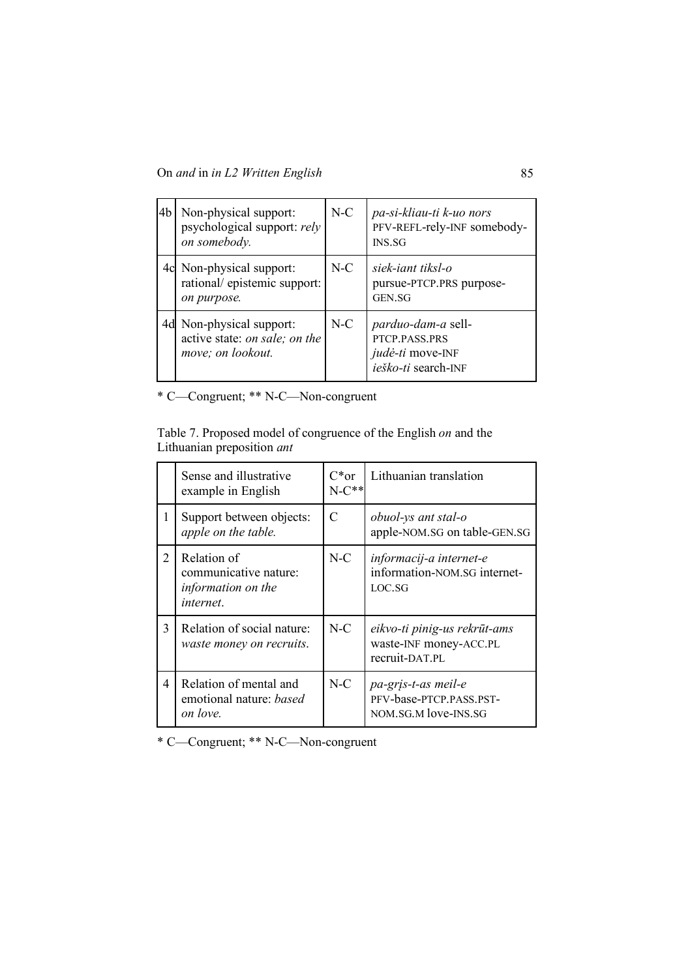| 4 <sub>b</sub> | Non-physical support:<br>psychological support: rely<br>on somebody.        | $N-C$ | pa-si-kliau-ti k-uo nors<br>PFV-REFL-rely-INF somebody-<br><b>INS.SG</b>              |
|----------------|-----------------------------------------------------------------------------|-------|---------------------------------------------------------------------------------------|
| 4c             | Non-physical support:<br>rational/epistemic support:<br>on purpose.         | $N-C$ | siek-iant tiksl-o<br>pursue-PTCP.PRS purpose-<br>GEN.SG                               |
| 4d             | Non-physical support:<br>active state: on sale; on the<br>move; on lookout. | $N-C$ | <i>parduo-dam-a</i> sell-<br>PTCP.PASS.PRS<br>judė-ti move-INF<br>ieško-ti search-INF |

\* C—Congruent; \*\* N-C—Non-congruent

Table 7. Proposed model of congruence of the English *on* and the Lithuanian preposition *ant*

|   | Sense and illustrative<br>example in English                            | $C^*$ or<br>$N-C**$ | Lithuanian translation                                                    |
|---|-------------------------------------------------------------------------|---------------------|---------------------------------------------------------------------------|
| 1 | Support between objects:<br>apple on the table.                         | C                   | obuol-ys ant stal-o<br>apple-NOM.SG on table-GEN.SG                       |
| 2 | Relation of<br>communicative nature:<br>information on the<br>internet. | $N-C$               | informacij-a internet-e<br>information-NOM.SG internet-<br>LOC.SG         |
| 3 | Relation of social nature:<br>waste money on recruits.                  | $N-C$               | eikvo-ti pinig-us rekrūt-ams<br>waste-INF money-ACC.PL<br>recruit-DAT.PL  |
| 4 | Relation of mental and<br>emotional nature: <i>based</i><br>on love.    | $N-C$               | pa-gris-t-as meil-e<br>PFV-base-PTCP.PASS.PST-<br>NOM. SG. M love-INS. SG |

\* C—Congruent; \*\* N-C—Non-congruent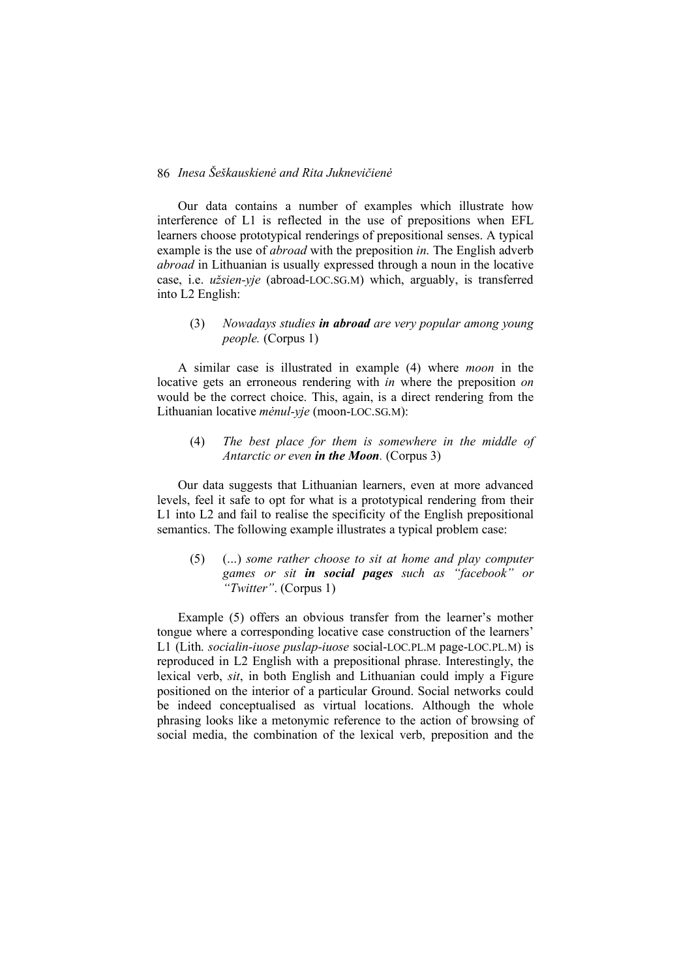Our data contains a number of examples which illustrate how interference of L1 is reflected in the use of prepositions when EFL learners choose prototypical renderings of prepositional senses. A typical example is the use of *abroad* with the preposition *in*. The English adverb *abroad* in Lithuanian is usually expressed through a noun in the locative case, i.e. *užsien-yje* (abroad-LOC.SG.M) which, arguably, is transferred into L2 English:

# (3) *Nowadays studies in abroad are very popular among young people.* (Corpus 1)

A similar case is illustrated in example (4) where *moon* in the locative gets an erroneous rendering with *in* where the preposition *on*  would be the correct choice. This, again, is a direct rendering from the Lithuanian locative *mėnul-yje* (moon-LOC.SG.M):

# (4) *The best place for them is somewhere in the middle of Antarctic or even in the Moon.* (Corpus 3)

Our data suggests that Lithuanian learners, even at more advanced levels, feel it safe to opt for what is a prototypical rendering from their L1 into L2 and fail to realise the specificity of the English prepositional semantics. The following example illustrates a typical problem case:

(5) (...) *some rather choose to sit at home and play computer games or sit in social pages such as "facebook" or "Twitter"*. (Corpus 1)

Example (5) offers an obvious transfer from the learner's mother tongue where a corresponding locative case construction of the learners' L1 (Lith. *socialin-iuose puslap-iuose* social-LOC.PL.M page-LOC.PL.M) is reproduced in L2 English with a prepositional phrase. Interestingly, the lexical verb, *sit*, in both English and Lithuanian could imply a Figure positioned on the interior of a particular Ground. Social networks could be indeed conceptualised as virtual locations. Although the whole phrasing looks like a metonymic reference to the action of browsing of social media, the combination of the lexical verb, preposition and the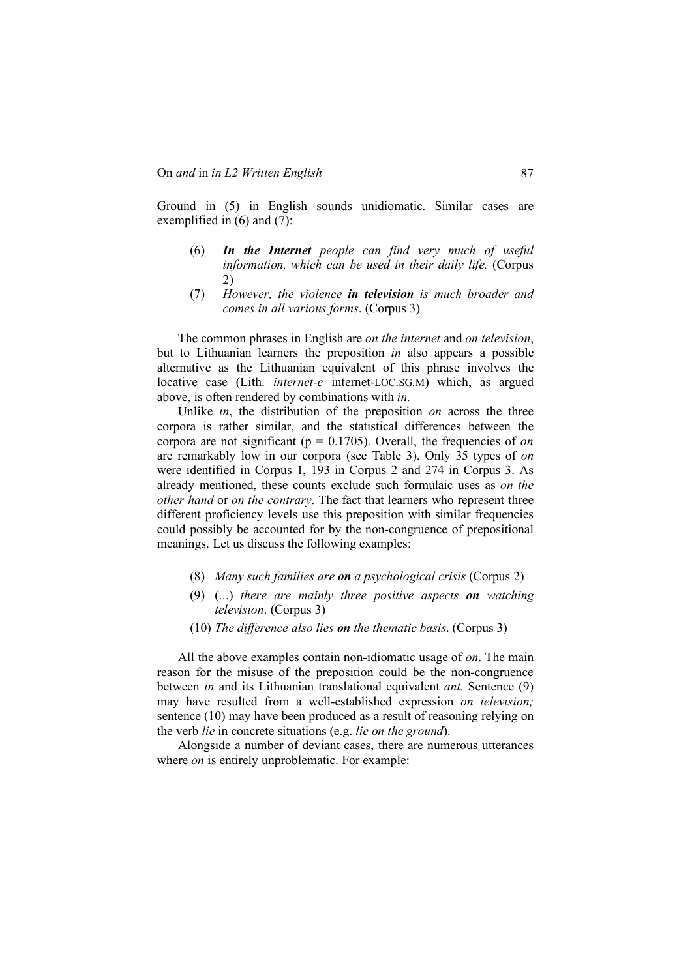Ground in (5) in English sounds unidiomatic. Similar cases are exemplified in (6) and (7):

- (6) *In the Internet people can find very much of useful information, which can be used in their daily life.* (Corpus 2)
- (7) *However, the violence in television is much broader and comes in all various forms*. (Corpus 3)

The common phrases in English are *on the internet* and *on television*, but to Lithuanian learners the preposition *in* also appears a possible alternative as the Lithuanian equivalent of this phrase involves the locative case (Lith. *internet-e* internet-LOC.SG.M) which, as argued above, is often rendered by combinations with *in*.

Unlike *in*, the distribution of the preposition *on* across the three corpora is rather similar, and the statistical differences between the corpora are not significant ( $p = 0.1705$ ). Overall, the frequencies of *on* are remarkably low in our corpora (see Table 3). Only 35 types of *on*  were identified in Corpus 1, 193 in Corpus 2 and 274 in Corpus 3. As already mentioned, these counts exclude such formulaic uses as *on the other hand* or *on the contrary*. The fact that learners who represent three different proficiency levels use this preposition with similar frequencies could possibly be accounted for by the non-congruence of prepositional meanings. Let us discuss the following examples:

- (8) *Many such families are on a psychological crisis* (Corpus 2)
- (9) (...) *there are mainly three positive aspects on watching television*. (Corpus 3)
- (10) *The difference also lies on the thematic basis*. (Corpus 3)

All the above examples contain non-idiomatic usage of *on*. The main reason for the misuse of the preposition could be the non-congruence between *in* and its Lithuanian translational equivalent *ant.* Sentence (9) may have resulted from a well-established expression *on television;* sentence (10) may have been produced as a result of reasoning relying on the verb *lie* in concrete situations (e.g. *lie on the ground*).

Alongside a number of deviant cases, there are numerous utterances where *on* is entirely unproblematic. For example: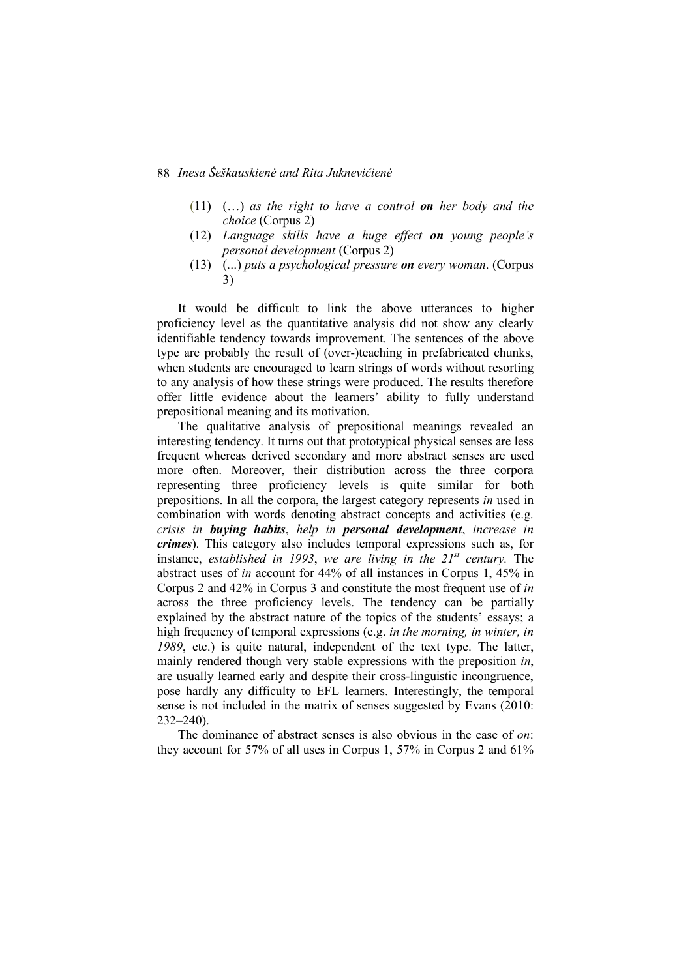- (11) (…) *as the right to have a control on her body and the choice* (Corpus 2)
- (12) *Language skills have a huge effect on young people's personal development* (Corpus 2)
- (13) (...) *puts a psychological pressure on every woman*. (Corpus 3)

It would be difficult to link the above utterances to higher proficiency level as the quantitative analysis did not show any clearly identifiable tendency towards improvement. The sentences of the above type are probably the result of (over-)teaching in prefabricated chunks, when students are encouraged to learn strings of words without resorting to any analysis of how these strings were produced. The results therefore offer little evidence about the learners' ability to fully understand prepositional meaning and its motivation.

The qualitative analysis of prepositional meanings revealed an interesting tendency. It turns out that prototypical physical senses are less frequent whereas derived secondary and more abstract senses are used more often. Moreover, their distribution across the three corpora representing three proficiency levels is quite similar for both prepositions. In all the corpora, the largest category represents *in* used in combination with words denoting abstract concepts and activities (e.g. *crisis in buying habits*, *help in personal development*, *increase in crimes*). This category also includes temporal expressions such as, for instance, *established in 1993*, *we are living in the 21st century.* The abstract uses of *in* account for 44% of all instances in Corpus 1, 45% in Corpus 2 and 42% in Corpus 3 and constitute the most frequent use of *in*  across the three proficiency levels. The tendency can be partially explained by the abstract nature of the topics of the students' essays; a high frequency of temporal expressions (e.g. *in the morning, in winter, in 1989*, etc.) is quite natural, independent of the text type. The latter, mainly rendered though very stable expressions with the preposition *in*, are usually learned early and despite their cross-linguistic incongruence, pose hardly any difficulty to EFL learners. Interestingly, the temporal sense is not included in the matrix of senses suggested by Evans (2010: 232–240).

The dominance of abstract senses is also obvious in the case of *on*: they account for 57% of all uses in Corpus 1, 57% in Corpus 2 and 61%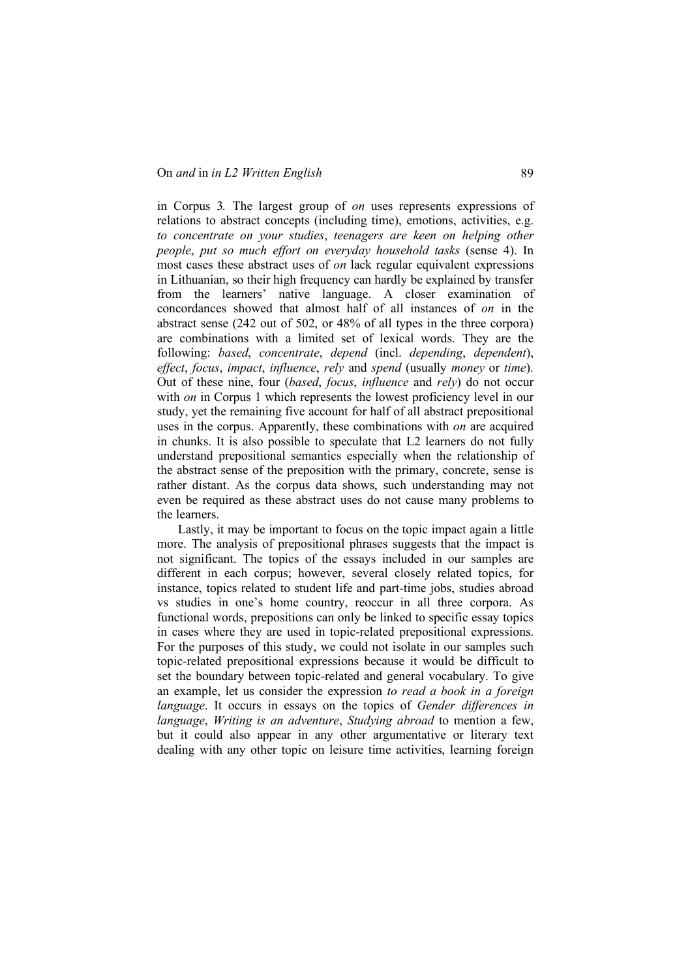in Corpus 3*.* The largest group of *on* uses represents expressions of relations to abstract concepts (including time), emotions, activities, e.g. *to concentrate on your studies*, *teenagers are keen on helping other people*, *put so much effort on everyday household tasks* (sense 4). In most cases these abstract uses of *on* lack regular equivalent expressions in Lithuanian, so their high frequency can hardly be explained by transfer from the learners' native language. A closer examination of concordances showed that almost half of all instances of *on* in the abstract sense (242 out of 502, or 48% of all types in the three corpora) are combinations with a limited set of lexical words. They are the following: *based*, *concentrate*, *depend* (incl. *depending*, *dependent*), *effect*, *focus*, *impact*, *influence*, *rely* and *spend* (usually *money* or *time*). Out of these nine, four (*based*, *focus*, *influence* and *rely*) do not occur with *on* in Corpus 1 which represents the lowest proficiency level in our study, yet the remaining five account for half of all abstract prepositional uses in the corpus. Apparently, these combinations with *on* are acquired in chunks. It is also possible to speculate that L2 learners do not fully understand prepositional semantics especially when the relationship of the abstract sense of the preposition with the primary, concrete, sense is rather distant. As the corpus data shows, such understanding may not even be required as these abstract uses do not cause many problems to the learners.

Lastly, it may be important to focus on the topic impact again a little more. The analysis of prepositional phrases suggests that the impact is not significant. The topics of the essays included in our samples are different in each corpus; however, several closely related topics, for instance, topics related to student life and part-time jobs, studies abroad vs studies in one's home country, reoccur in all three corpora. As functional words, prepositions can only be linked to specific essay topics in cases where they are used in topic-related prepositional expressions. For the purposes of this study, we could not isolate in our samples such topic-related prepositional expressions because it would be difficult to set the boundary between topic-related and general vocabulary. To give an example, let us consider the expression *to read a book in a foreign language*. It occurs in essays on the topics of *Gender differences in language*, *Writing is an adventure*, *Studying abroad* to mention a few, but it could also appear in any other argumentative or literary text dealing with any other topic on leisure time activities, learning foreign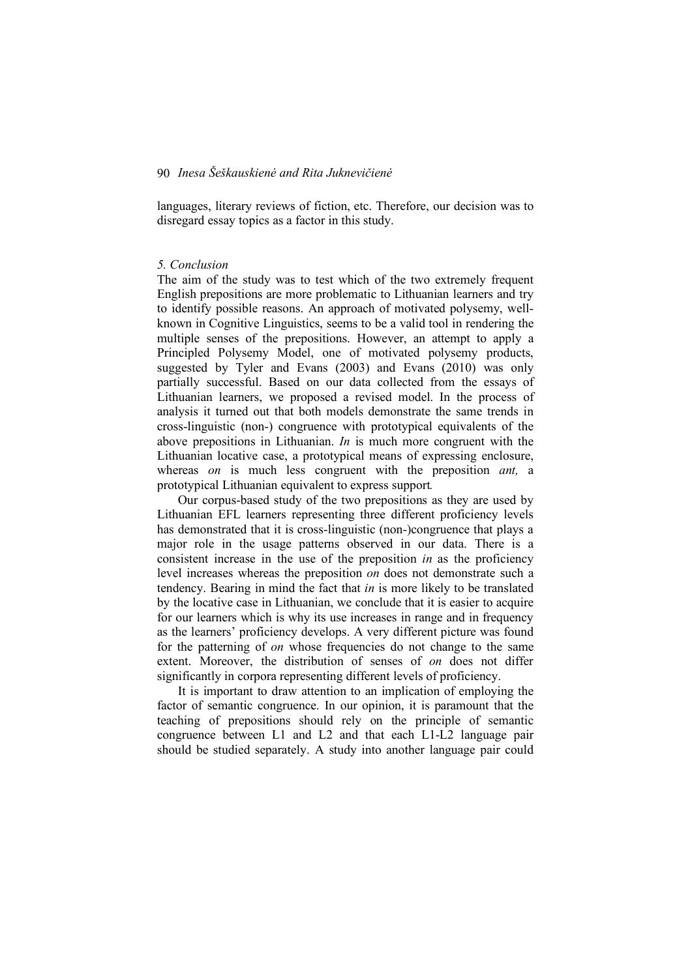languages, literary reviews of fiction, etc. Therefore, our decision was to disregard essay topics as a factor in this study.

#### *5. Conclusion*

The aim of the study was to test which of the two extremely frequent English prepositions are more problematic to Lithuanian learners and try to identify possible reasons. An approach of motivated polysemy, wellknown in Cognitive Linguistics, seems to be a valid tool in rendering the multiple senses of the prepositions. However, an attempt to apply a Principled Polysemy Model, one of motivated polysemy products, suggested by Tyler and Evans (2003) and Evans (2010) was only partially successful. Based on our data collected from the essays of Lithuanian learners, we proposed a revised model. In the process of analysis it turned out that both models demonstrate the same trends in cross-linguistic (non-) congruence with prototypical equivalents of the above prepositions in Lithuanian. *In* is much more congruent with the Lithuanian locative case, a prototypical means of expressing enclosure, whereas *on* is much less congruent with the preposition *ant,* a prototypical Lithuanian equivalent to express support*.*

Our corpus-based study of the two prepositions as they are used by Lithuanian EFL learners representing three different proficiency levels has demonstrated that it is cross-linguistic (non-)congruence that plays a major role in the usage patterns observed in our data. There is a consistent increase in the use of the preposition *in* as the proficiency level increases whereas the preposition *on* does not demonstrate such a tendency. Bearing in mind the fact that *in* is more likely to be translated by the locative case in Lithuanian, we conclude that it is easier to acquire for our learners which is why its use increases in range and in frequency as the learners' proficiency develops. A very different picture was found for the patterning of *on* whose frequencies do not change to the same extent. Moreover, the distribution of senses of *on* does not differ significantly in corpora representing different levels of proficiency.

It is important to draw attention to an implication of employing the factor of semantic congruence. In our opinion, it is paramount that the teaching of prepositions should rely on the principle of semantic congruence between L1 and L2 and that each L1-L2 language pair should be studied separately. A study into another language pair could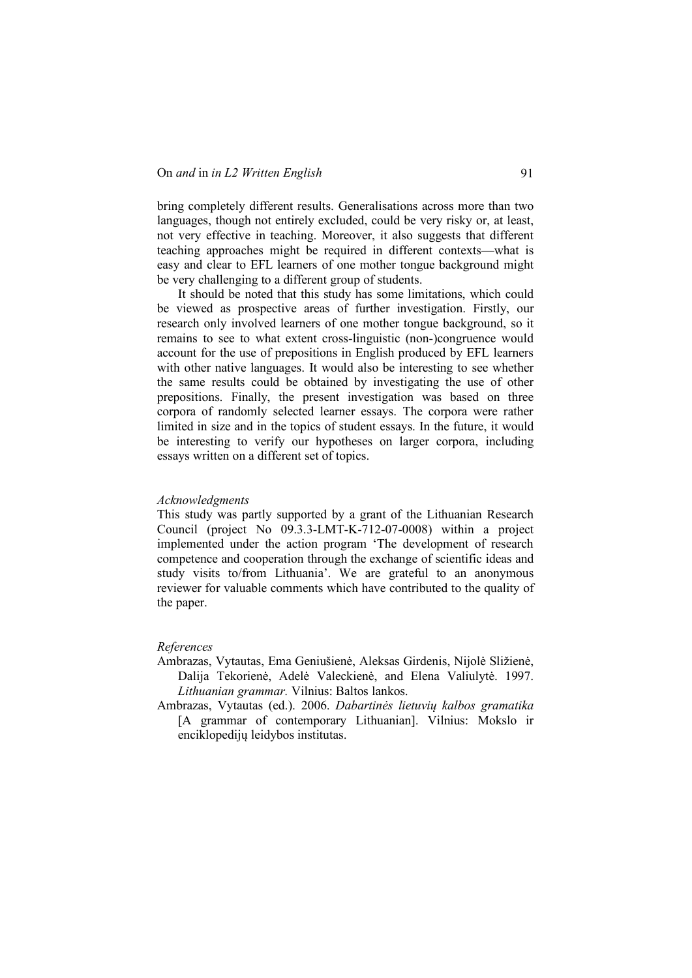bring completely different results. Generalisations across more than two languages, though not entirely excluded, could be very risky or, at least, not very effective in teaching. Moreover, it also suggests that different teaching approaches might be required in different contexts—what is easy and clear to EFL learners of one mother tongue background might be very challenging to a different group of students.

It should be noted that this study has some limitations, which could be viewed as prospective areas of further investigation. Firstly, our research only involved learners of one mother tongue background, so it remains to see to what extent cross-linguistic (non-)congruence would account for the use of prepositions in English produced by EFL learners with other native languages. It would also be interesting to see whether the same results could be obtained by investigating the use of other prepositions. Finally, the present investigation was based on three corpora of randomly selected learner essays. The corpora were rather limited in size and in the topics of student essays. In the future, it would be interesting to verify our hypotheses on larger corpora, including essays written on a different set of topics.

#### *Acknowledgments*

This study was partly supported by a grant of the Lithuanian Research Council (project No 09.3.3-LMT-K-712-07-0008) within a project implemented under the action program 'The development of research competence and cooperation through the exchange of scientific ideas and study visits to/from Lithuania'. We are grateful to an anonymous reviewer for valuable comments which have contributed to the quality of the paper.

#### *References*

- Ambrazas, Vytautas, Ema Geniušienė, Aleksas Girdenis, Nijolė Sližienė, Dalija Tekorienė, Adelė Valeckienė, and Elena Valiulytė. 1997. *Lithuanian grammar.* Vilnius: Baltos lankos.
- Ambrazas, Vytautas (ed.). 2006. *Dabartinės lietuvių kalbos gramatika* [A grammar of contemporary Lithuanian]. Vilnius: Mokslo ir enciklopedijų leidybos institutas.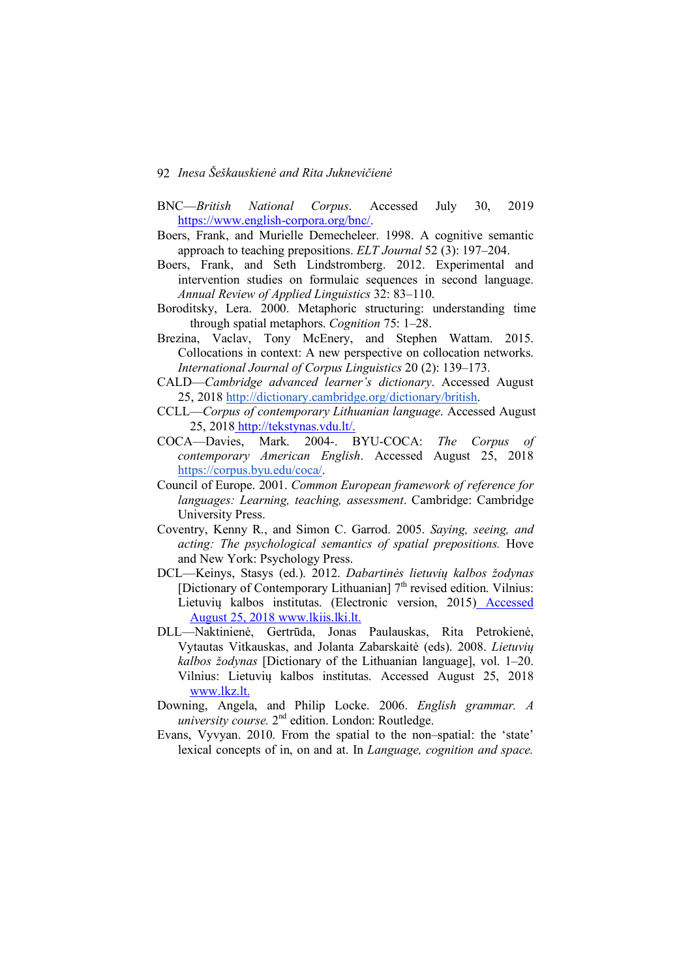- BNC—*British National Corpus*. Accessed July 30, 2019 https://www.english-corpora.org/bnc/.
- Boers, Frank, and Murielle Demecheleer. 1998. A cognitive semantic approach to teaching prepositions. *ELT Journal* 52 (3): 197–204.
- Boers, Frank, and Seth Lindstromberg. 2012. Experimental and intervention studies on formulaic sequences in second language. *Annual Review of Applied Linguistics* 32: 83–110.
- Boroditsky, Lera. 2000. Metaphoric structuring: understanding time through spatial metaphors. *Cognition* 75: 1–28.
- Brezina, Vaclav, Tony McEnery, and Stephen Wattam. 2015. Collocations in context: A new perspective on collocation networks. *International Journal of Corpus Linguistics* 20 (2): 139–173.
- CALD—*Cambridge advanced learner's dictionary*. Accessed August 25, 2018 http://dictionary.cambridge.org/dictionary/british.
- CCLL—*Corpus of contemporary Lithuanian language*. Accessed August 25, 2018 http://tekstynas.vdu.lt/.
- COCA—Davies, Mark. 2004-. BYU-COCA: *The Corpus of contemporary American English*. Accessed August 25, 2018 https://corpus.byu.edu/coca/.
- Council of Europe. 2001. *Common European framework of reference for languages: Learning, teaching, assessment*. Cambridge: Cambridge University Press.
- Coventry, Kenny R., and Simon C. Garrod. 2005. *Saying, seeing, and acting: The psychological semantics of spatial prepositions.* Hove and New York: Psychology Press.
- DCL—Keinys, Stasys (ed.). 2012. *Dabartinės lietuvių kalbos žodynas* [Dictionary of Contemporary Lithuanian] 7<sup>th</sup> revised edition. Vilnius: Lietuvių kalbos institutas. (Electronic version, 2015) Accessed August 25, 2018 www.lkiis.lki.lt.
- DLL—Naktinienė, Gertrūda, Jonas Paulauskas, Rita Petrokienė, Vytautas Vitkauskas, and Jolanta Zabarskaitė (eds). 2008. *Lietuvių kalbos žodynas* [Dictionary of the Lithuanian language], vol. 1–20. Vilnius: Lietuvių kalbos institutas. Accessed August 25, 2018 www.lkz.lt.
- Downing, Angela, and Philip Locke. 2006. *English grammar. A university course.* 2nd edition. London: Routledge.
- Evans, Vyvyan. 2010. From the spatial to the non–spatial: the 'state' lexical concepts of in, on and at. In *Language, cognition and space.*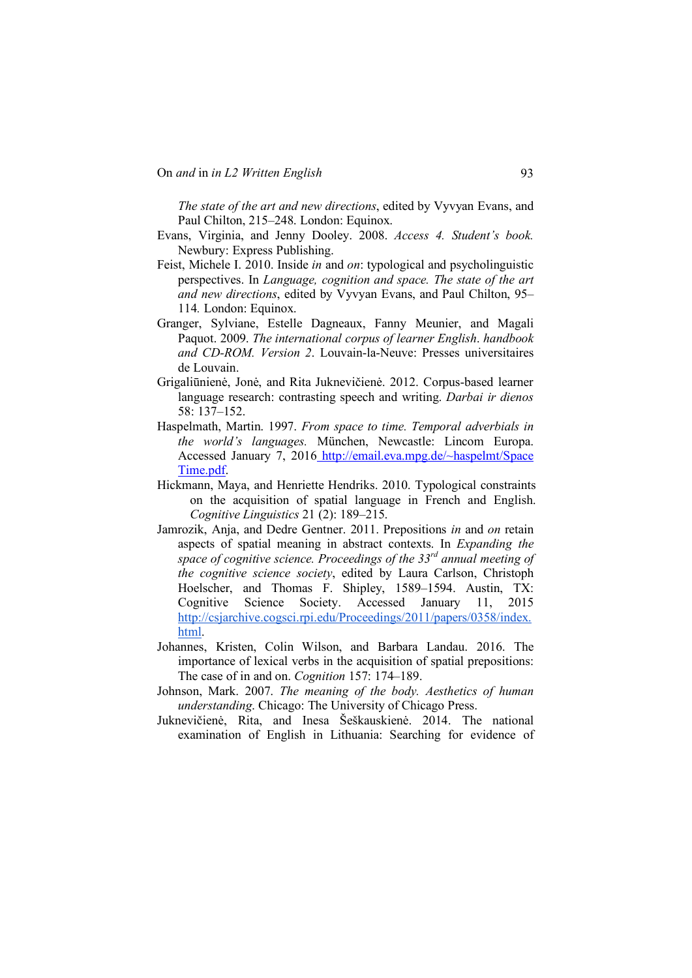*The state of the art and new directions*, edited by Vyvyan Evans, and Paul Chilton, 215–248. London: Equinox.

- Evans, Virginia, and Jenny Dooley. 2008. *Access 4. Student's book.* Newbury: Express Publishing.
- Feist, Michele I. 2010. Inside *in* and *on*: typological and psycholinguistic perspectives. In *Language, cognition and space. The state of the art and new directions*, edited by Vyvyan Evans, and Paul Chilton, 95– 114*.* London: Equinox.
- Granger, Sylviane, Estelle Dagneaux, Fanny Meunier, and Magali Paquot. 2009. *The international corpus of learner English*. *handbook and CD-ROM. Version 2*. Louvain-la-Neuve: Presses universitaires de Louvain.
- Grigaliūnienė, Jonė, and Rita Juknevičienė. 2012. Corpus-based learner language research: contrasting speech and writing. *Darbai ir dienos* 58: 137–152.
- Haspelmath, Martin. 1997. *From space to time. Temporal adverbials in the world's languages.* München, Newcastle: Lincom Europa. Accessed January 7, 2016 http://email.eva.mpg.de/~haspelmt/Space Time.pdf.
- Hickmann, Maya, and Henriette Hendriks. 2010. Typological constraints on the acquisition of spatial language in French and English. *Cognitive Linguistics* 21 (2): 189–215.
- Jamrozik, Anja, and Dedre Gentner. 2011. Prepositions *in* and *on* retain aspects of spatial meaning in abstract contexts. In *Expanding the space of cognitive science. Proceedings of the 33rd annual meeting of the cognitive science society*, edited by Laura Carlson, Christoph Hoelscher, and Thomas F. Shipley, 1589–1594. Austin, TX: Cognitive Science Society. Accessed January 11, 2015 http://csjarchive.cogsci.rpi.edu/Proceedings/2011/papers/0358/index. html.
- Johannes, Kristen, Colin Wilson, and Barbara Landau. 2016. The importance of lexical verbs in the acquisition of spatial prepositions: The case of in and on. *Cognition* 157: 174–189.
- Johnson, Mark. 2007. *The meaning of the body. Aesthetics of human understanding*. Chicago: The University of Chicago Press.
- Juknevičienė, Rita, and Inesa Šeškauskienė. 2014. The national examination of English in Lithuania: Searching for evidence of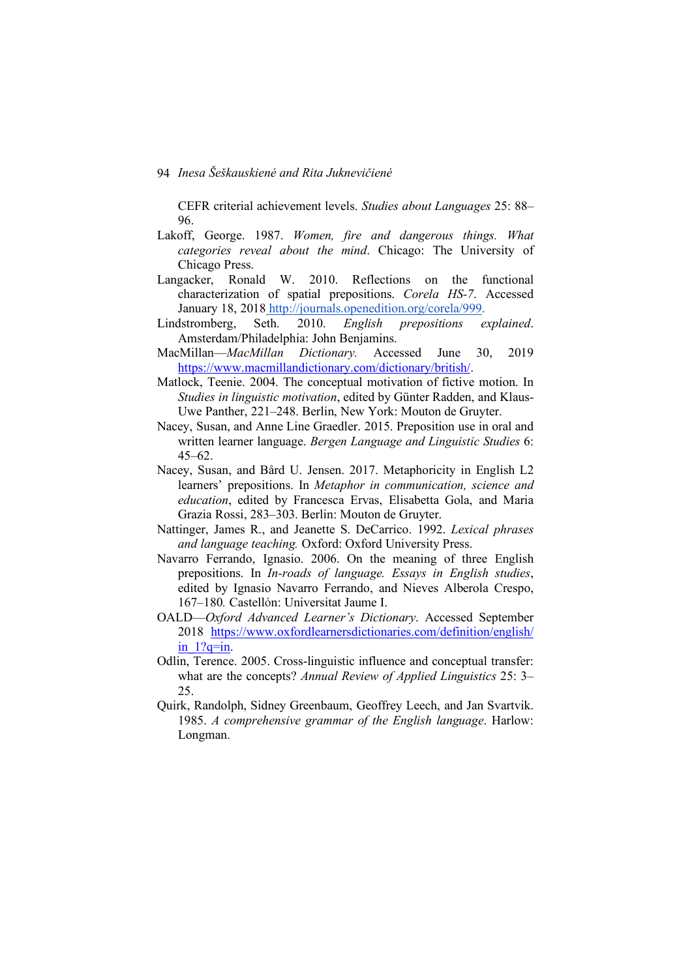CEFR criterial achievement levels. *Studies about Languages* 25: 88– 96.

- Lakoff, George. 1987. *Women, fire and dangerous things. What categories reveal about the mind*. Chicago: The University of Chicago Press.
- Langacker, Ronald W. 2010. Reflections on the functional characterization of spatial prepositions. *Corela HS-7*. Accessed January 18, 2018 http://journals.openedition.org/corela/999.
- Lindstromberg, Seth. 2010. *English prepositions explained*. Amsterdam/Philadelphia: John Benjamins.
- MacMillan—*MacMillan Dictionary.* Accessed June 30, 2019 https://www.macmillandictionary.com/dictionary/british/.
- Matlock, Teenie. 2004. The conceptual motivation of fictive motion. In *Studies in linguistic motivation*, edited by Günter Radden, and Klaus-Uwe Panther, 221–248. Berlin, New York: Mouton de Gruyter.
- Nacey, Susan, and Anne Line Graedler. 2015. Preposition use in oral and written learner language. *Bergen Language and Linguistic Studies* 6:  $45 - 62$ .
- Nacey, Susan, and Bård U. Jensen. 2017. Metaphoricity in English L2 learners' prepositions. In *Metaphor in communication, science and education*, edited by Francesca Ervas, Elisabetta Gola, and Maria Grazia Rossi, 283–303. Berlin: Mouton de Gruyter.
- Nattinger, James R., and Jeanette S. DeCarrico. 1992. *Lexical phrases and language teaching.* Oxford: Oxford University Press.
- Navarro Ferrando, Ignasio. 2006. On the meaning of three English prepositions. In *In-roads of language. Essays in English studies*, edited by Ignasio Navarro Ferrando, and Nieves Alberola Crespo, 167–180*.* Castellón: Universitat Jaume I.
- OALD—*Oxford Advanced Learner's Dictionary*. Accessed September 2018 https://www.oxfordlearnersdictionaries.com/definition/english/  $in$  1?q=in.
- Odlin, Terence. 2005. Cross-linguistic influence and conceptual transfer: what are the concepts? *Annual Review of Applied Linguistics* 25: 3– 25.
- Quirk, Randolph, Sidney Greenbaum, Geoffrey Leech, and Jan Svartvik. 1985. *A comprehensive grammar of the English language*. Harlow: Longman.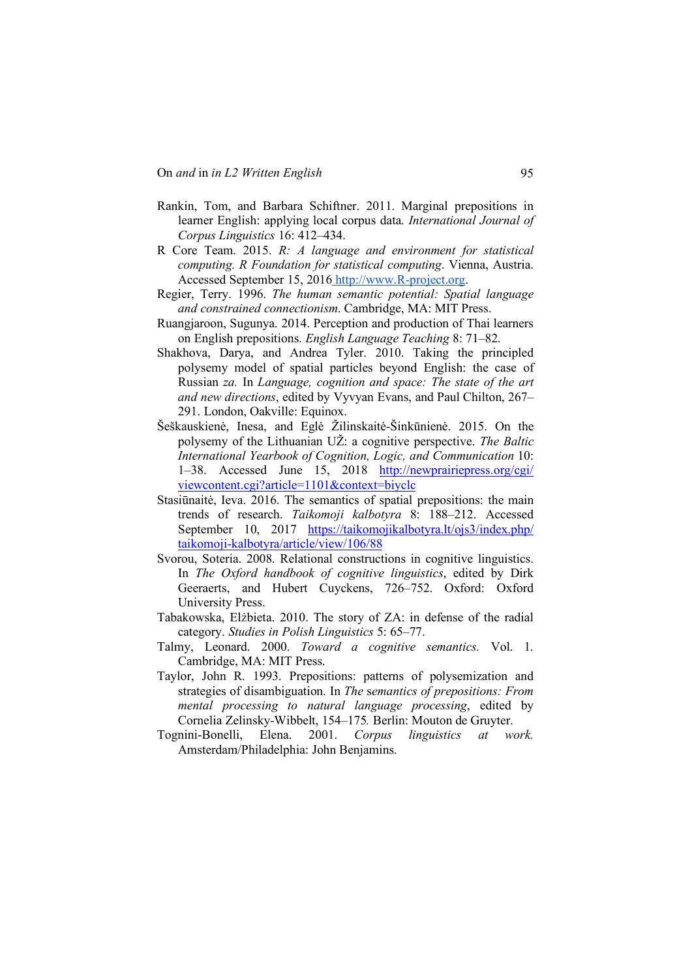- Rankin, Tom, and Barbara Schiftner. 2011. Marginal prepositions in learner English: applying local corpus data. *International Journal of Corpus Linguistics* 16: 412–434.
- R Core Team. 2015. *R: A language and environment for statistical computing. R Foundation for statistical computing*. Vienna, Austria. Accessed September 15, 2016 http://www.R-project.org.
- Regier, Terry. 1996. *The human semantic potential: Spatial language and constrained connectionism*. Cambridge, MA: MIT Press.
- Ruangjaroon, Sugunya. 2014. Perception and production of Thai learners on English prepositions. *English Language Teaching* 8: 71–82.
- Shakhova, Darya, and Andrea Tyler. 2010. Taking the principled polysemy model of spatial particles beyond English: the case of Russian *za.* In *Language, cognition and space: The state of the art and new directions*, edited by Vyvyan Evans, and Paul Chilton, 267– 291. London, Oakville: Equinox.
- Šeškauskienė, Inesa, and Eglė Žilinskaitė-Šinkūnienė. 2015. On the polysemy of the Lithuanian UŽ: a cognitive perspective. *The Baltic International Yearbook of Cognition, Logic, and Communication* 10: 1–38. Accessed June 15, 2018 http://newprairiepress.org/cgi/ viewcontent.cgi?article=1101&context=biyclc
- Stasiūnaitė, Ieva. 2016. The semantics of spatial prepositions: the main trends of research. *Taikomoji kalbotyra* 8: 188–212. Accessed September 10, 2017 https://taikomojikalbotyra.lt/ojs3/index.php/ taikomoji-kalbotyra/article/view/106/88
- Svorou, Soteria. 2008. Relational constructions in cognitive linguistics. In *The Oxford handbook of cognitive linguistics*, edited by Dirk Geeraerts, and Hubert Cuyckens, 726–752. Oxford: Oxford University Press.
- Tabakowska, Elżbieta. 2010. The story of ZA: in defense of the radial category. *Studies in Polish Linguistics* 5: 65–77.
- Talmy, Leonard. 2000. *Toward a cognitive semantics.* Vol. 1. Cambridge, MA: MIT Press.
- Taylor, John R. 1993. Prepositions: patterns of polysemization and strategies of disambiguation. In *The* s*emantics of prepositions: From mental processing to natural language processing*, edited by Cornelia Zelinsky-Wibbelt, 154–175*.* Berlin: Mouton de Gruyter.
- Tognini-Bonelli, Elena. 2001. *Corpus linguistics at work.* Amsterdam/Philadelphia: John Benjamins.